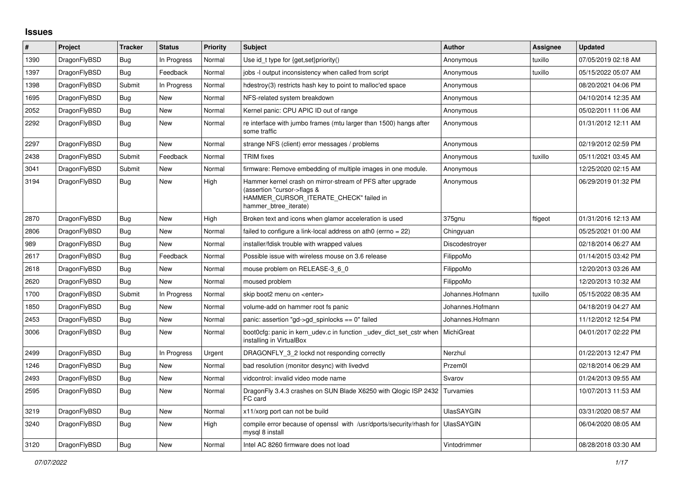## **Issues**

| #    | Project      | <b>Tracker</b> | <b>Status</b> | Priority | <b>Subject</b>                                                                                                                                              | <b>Author</b>     | Assignee | <b>Updated</b>      |
|------|--------------|----------------|---------------|----------|-------------------------------------------------------------------------------------------------------------------------------------------------------------|-------------------|----------|---------------------|
| 1390 | DragonFlyBSD | Bug            | In Progress   | Normal   | Use id t type for $\{get, set\}$ priority $()$                                                                                                              | Anonymous         | tuxillo  | 07/05/2019 02:18 AM |
| 1397 | DragonFlyBSD | <b>Bug</b>     | Feedback      | Normal   | jobs -I output inconsistency when called from script                                                                                                        | Anonymous         | tuxillo  | 05/15/2022 05:07 AM |
| 1398 | DragonFlyBSD | Submit         | In Progress   | Normal   | hdestroy(3) restricts hash key to point to malloc'ed space                                                                                                  | Anonymous         |          | 08/20/2021 04:06 PM |
| 1695 | DragonFlyBSD | <b>Bug</b>     | New           | Normal   | NFS-related system breakdown                                                                                                                                | Anonymous         |          | 04/10/2014 12:35 AM |
| 2052 | DragonFlyBSD | <b>Bug</b>     | New           | Normal   | Kernel panic: CPU APIC ID out of range                                                                                                                      | Anonymous         |          | 05/02/2011 11:06 AM |
| 2292 | DragonFlyBSD | Bug            | New           | Normal   | re interface with jumbo frames (mtu larger than 1500) hangs after<br>some traffic                                                                           | Anonymous         |          | 01/31/2012 12:11 AM |
| 2297 | DragonFlyBSD | <b>Bug</b>     | <b>New</b>    | Normal   | strange NFS (client) error messages / problems                                                                                                              | Anonymous         |          | 02/19/2012 02:59 PM |
| 2438 | DragonFlyBSD | Submit         | Feedback      | Normal   | <b>TRIM</b> fixes                                                                                                                                           | Anonymous         | tuxillo  | 05/11/2021 03:45 AM |
| 3041 | DragonFlyBSD | Submit         | New           | Normal   | firmware: Remove embedding of multiple images in one module.                                                                                                | Anonymous         |          | 12/25/2020 02:15 AM |
| 3194 | DragonFlyBSD | Bug            | New           | High     | Hammer kernel crash on mirror-stream of PFS after upgrade<br>(assertion "cursor->flags &<br>HAMMER CURSOR ITERATE CHECK" failed in<br>hammer btree iterate) | Anonymous         |          | 06/29/2019 01:32 PM |
| 2870 | DragonFlyBSD | <b>Bug</b>     | New           | High     | Broken text and icons when glamor acceleration is used                                                                                                      | 375gnu            | ftigeot  | 01/31/2016 12:13 AM |
| 2806 | DragonFlyBSD | Bug            | New           | Normal   | failed to configure a link-local address on ath $0$ (errno = 22)                                                                                            | Chingyuan         |          | 05/25/2021 01:00 AM |
| 989  | DragonFlyBSD | <b>Bug</b>     | New           | Normal   | installer/fdisk trouble with wrapped values                                                                                                                 | Discodestroyer    |          | 02/18/2014 06:27 AM |
| 2617 | DragonFlyBSD | Bug            | Feedback      | Normal   | Possible issue with wireless mouse on 3.6 release                                                                                                           | FilippoMo         |          | 01/14/2015 03:42 PM |
| 2618 | DragonFlyBSD | Bug            | New           | Normal   | mouse problem on RELEASE-3 6 0                                                                                                                              | FilippoMo         |          | 12/20/2013 03:26 AM |
| 2620 | DragonFlyBSD | <b>Bug</b>     | New           | Normal   | moused problem                                                                                                                                              | FilippoMo         |          | 12/20/2013 10:32 AM |
| 1700 | DragonFlyBSD | Submit         | In Progress   | Normal   | skip boot2 menu on <enter></enter>                                                                                                                          | Johannes.Hofmann  | tuxillo  | 05/15/2022 08:35 AM |
| 1850 | DragonFlyBSD | <b>Bug</b>     | New           | Normal   | volume-add on hammer root fs panic                                                                                                                          | Johannes.Hofmann  |          | 04/18/2019 04:27 AM |
| 2453 | DragonFlyBSD | <b>Bug</b>     | New           | Normal   | panic: assertion "gd->gd_spinlocks == 0" failed                                                                                                             | Johannes.Hofmann  |          | 11/12/2012 12:54 PM |
| 3006 | DragonFlyBSD | <b>Bug</b>     | <b>New</b>    | Normal   | boot0cfg: panic in kern_udev.c in function _udev_dict_set_cstr when<br>installing in VirtualBox                                                             | MichiGreat        |          | 04/01/2017 02:22 PM |
| 2499 | DragonFlyBSD | <b>Bug</b>     | In Progress   | Urgent   | DRAGONFLY_3_2 lockd not responding correctly                                                                                                                | Nerzhul           |          | 01/22/2013 12:47 PM |
| 1246 | DragonFlyBSD | Bug            | New           | Normal   | bad resolution (monitor desync) with livedvd                                                                                                                | Przem0l           |          | 02/18/2014 06:29 AM |
| 2493 | DragonFlyBSD | <b>Bug</b>     | New           | Normal   | vidcontrol: invalid video mode name                                                                                                                         | Svarov            |          | 01/24/2013 09:55 AM |
| 2595 | DragonFlyBSD | Bug            | New           | Normal   | DragonFly 3.4.3 crashes on SUN Blade X6250 with Qlogic ISP 2432<br>FC card                                                                                  | Turvamies         |          | 10/07/2013 11:53 AM |
| 3219 | DragonFlyBSD | Bug            | New           | Normal   | x11/xorg port can not be build                                                                                                                              | <b>UlasSAYGIN</b> |          | 03/31/2020 08:57 AM |
| 3240 | DragonFlyBSD | Bug            | New           | High     | compile error because of openssl with /usr/dports/security/rhash for<br>mysql 8 install                                                                     | <b>UlasSAYGIN</b> |          | 06/04/2020 08:05 AM |
| 3120 | DragonFlyBSD | <b>Bug</b>     | <b>New</b>    | Normal   | Intel AC 8260 firmware does not load                                                                                                                        | Vintodrimmer      |          | 08/28/2018 03:30 AM |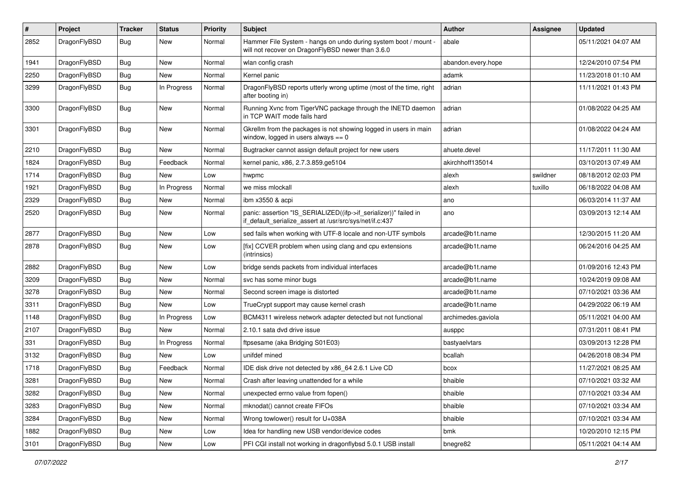| $\#$ | Project      | <b>Tracker</b> | <b>Status</b> | <b>Priority</b> | Subject                                                                                                                      | <b>Author</b>      | Assignee | <b>Updated</b>      |
|------|--------------|----------------|---------------|-----------------|------------------------------------------------------------------------------------------------------------------------------|--------------------|----------|---------------------|
| 2852 | DragonFlyBSD | Bug            | New           | Normal          | Hammer File System - hangs on undo during system boot / mount -<br>will not recover on DragonFlyBSD newer than 3.6.0         | abale              |          | 05/11/2021 04:07 AM |
| 1941 | DragonFlyBSD | Bug            | New           | Normal          | wlan config crash                                                                                                            | abandon.every.hope |          | 12/24/2010 07:54 PM |
| 2250 | DragonFlyBSD | <b>Bug</b>     | New           | Normal          | Kernel panic                                                                                                                 | adamk              |          | 11/23/2018 01:10 AM |
| 3299 | DragonFlyBSD | Bug            | In Progress   | Normal          | DragonFlyBSD reports utterly wrong uptime (most of the time, right<br>after booting in)                                      | adrian             |          | 11/11/2021 01:43 PM |
| 3300 | DragonFlyBSD | Bug            | New           | Normal          | Running Xvnc from TigerVNC package through the INETD daemon<br>in TCP WAIT mode fails hard                                   | adrian             |          | 01/08/2022 04:25 AM |
| 3301 | DragonFlyBSD | Bug            | New           | Normal          | Gkrellm from the packages is not showing logged in users in main<br>window, logged in users always $== 0$                    | adrian             |          | 01/08/2022 04:24 AM |
| 2210 | DragonFlyBSD | Bug            | <b>New</b>    | Normal          | Bugtracker cannot assign default project for new users                                                                       | ahuete.devel       |          | 11/17/2011 11:30 AM |
| 1824 | DragonFlyBSD | Bug            | Feedback      | Normal          | kernel panic, x86, 2.7.3.859.ge5104                                                                                          | akirchhoff135014   |          | 03/10/2013 07:49 AM |
| 1714 | DragonFlyBSD | Bug            | New           | Low             | hwpmc                                                                                                                        | alexh              | swildner | 08/18/2012 02:03 PM |
| 1921 | DragonFlyBSD | Bug            | In Progress   | Normal          | we miss mlockall                                                                                                             | alexh              | tuxillo  | 06/18/2022 04:08 AM |
| 2329 | DragonFlyBSD | Bug            | New           | Normal          | ibm x3550 & acpi                                                                                                             | ano                |          | 06/03/2014 11:37 AM |
| 2520 | DragonFlyBSD | Bug            | New           | Normal          | panic: assertion "IS_SERIALIZED((ifp->if_serializer))" failed in<br>if_default_serialize_assert at /usr/src/sys/net/if.c:437 | ano                |          | 03/09/2013 12:14 AM |
| 2877 | DragonFlyBSD | Bug            | New           | Low             | sed fails when working with UTF-8 locale and non-UTF symbols                                                                 | arcade@b1t.name    |          | 12/30/2015 11:20 AM |
| 2878 | DragonFlyBSD | Bug            | <b>New</b>    | Low             | [fix] CCVER problem when using clang and cpu extensions<br>(intrinsics)                                                      | arcade@b1t.name    |          | 06/24/2016 04:25 AM |
| 2882 | DragonFlyBSD | Bug            | <b>New</b>    | Low             | bridge sends packets from individual interfaces                                                                              | arcade@b1t.name    |          | 01/09/2016 12:43 PM |
| 3209 | DragonFlyBSD | Bug            | New           | Normal          | svc has some minor bugs                                                                                                      | arcade@b1t.name    |          | 10/24/2019 09:08 AM |
| 3278 | DragonFlyBSD | Bug            | New           | Normal          | Second screen image is distorted                                                                                             | arcade@b1t.name    |          | 07/10/2021 03:36 AM |
| 3311 | DragonFlyBSD | Bug            | New           | Low             | TrueCrypt support may cause kernel crash                                                                                     | arcade@b1t.name    |          | 04/29/2022 06:19 AM |
| 1148 | DragonFlyBSD | Bug            | In Progress   | Low             | BCM4311 wireless network adapter detected but not functional                                                                 | archimedes.gaviola |          | 05/11/2021 04:00 AM |
| 2107 | DragonFlyBSD | Bug            | New           | Normal          | 2.10.1 sata dvd drive issue                                                                                                  | ausppc             |          | 07/31/2011 08:41 PM |
| 331  | DragonFlyBSD | <b>Bug</b>     | In Progress   | Normal          | ftpsesame (aka Bridging S01E03)                                                                                              | bastyaelvtars      |          | 03/09/2013 12:28 PM |
| 3132 | DragonFlyBSD | Bug            | New           | Low             | unifdef mined                                                                                                                | bcallah            |          | 04/26/2018 08:34 PM |
| 1718 | DragonFlyBSD | Bug            | Feedback      | Normal          | IDE disk drive not detected by x86 64 2.6.1 Live CD                                                                          | bcox               |          | 11/27/2021 08:25 AM |
| 3281 | DragonFlyBSD | Bug            | <b>New</b>    | Normal          | Crash after leaving unattended for a while                                                                                   | bhaible            |          | 07/10/2021 03:32 AM |
| 3282 | DragonFlyBSD | <b>Bug</b>     | New           | Normal          | unexpected errno value from fopen()                                                                                          | bhaible            |          | 07/10/2021 03:34 AM |
| 3283 | DragonFlyBSD | <b>Bug</b>     | New           | Normal          | mknodat() cannot create FIFOs                                                                                                | bhaible            |          | 07/10/2021 03:34 AM |
| 3284 | DragonFlyBSD | <b>Bug</b>     | New           | Normal          | Wrong towlower() result for U+038A                                                                                           | bhaible            |          | 07/10/2021 03:34 AM |
| 1882 | DragonFlyBSD | <b>Bug</b>     | New           | Low             | Idea for handling new USB vendor/device codes                                                                                | bmk                |          | 10/20/2010 12:15 PM |
| 3101 | DragonFlyBSD | <b>Bug</b>     | New           | Low             | PFI CGI install not working in dragonflybsd 5.0.1 USB install                                                                | bnegre82           |          | 05/11/2021 04:14 AM |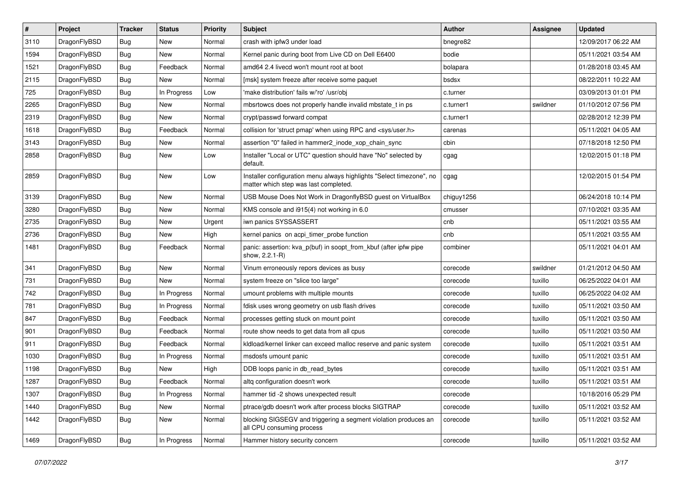| $\sharp$ | Project      | <b>Tracker</b> | <b>Status</b> | <b>Priority</b> | Subject                                                                                                       | <b>Author</b> | Assignee | <b>Updated</b>      |
|----------|--------------|----------------|---------------|-----------------|---------------------------------------------------------------------------------------------------------------|---------------|----------|---------------------|
| 3110     | DragonFlyBSD | Bug            | New           | Normal          | crash with ipfw3 under load                                                                                   | bnegre82      |          | 12/09/2017 06:22 AM |
| 1594     | DragonFlyBSD | Bug            | <b>New</b>    | Normal          | Kernel panic during boot from Live CD on Dell E6400                                                           | bodie         |          | 05/11/2021 03:54 AM |
| 1521     | DragonFlyBSD | Bug            | Feedback      | Normal          | amd64 2.4 livecd won't mount root at boot                                                                     | bolapara      |          | 01/28/2018 03:45 AM |
| 2115     | DragonFlyBSD | Bug            | New           | Normal          | [msk] system freeze after receive some paquet                                                                 | bsdsx         |          | 08/22/2011 10:22 AM |
| 725      | DragonFlyBSD | Bug            | In Progress   | Low             | 'make distribution' fails w/'ro' /usr/obj                                                                     | c.turner      |          | 03/09/2013 01:01 PM |
| 2265     | DragonFlyBSD | Bug            | <b>New</b>    | Normal          | mbsrtowcs does not properly handle invalid mbstate_t in ps                                                    | c.turner1     | swildner | 01/10/2012 07:56 PM |
| 2319     | DragonFlyBSD | <b>Bug</b>     | New           | Normal          | crypt/passwd forward compat                                                                                   | c.turner1     |          | 02/28/2012 12:39 PM |
| 1618     | DragonFlyBSD | <b>Bug</b>     | Feedback      | Normal          | collision for 'struct pmap' when using RPC and <sys user.h=""></sys>                                          | carenas       |          | 05/11/2021 04:05 AM |
| 3143     | DragonFlyBSD | <b>Bug</b>     | <b>New</b>    | Normal          | assertion "0" failed in hammer2 inode xop chain sync                                                          | cbin          |          | 07/18/2018 12:50 PM |
| 2858     | DragonFlyBSD | <b>Bug</b>     | New           | Low             | Installer "Local or UTC" question should have "No" selected by<br>default.                                    | cgag          |          | 12/02/2015 01:18 PM |
| 2859     | DragonFlyBSD | Bug            | New           | Low             | Installer configuration menu always highlights "Select timezone", no<br>matter which step was last completed. | cgag          |          | 12/02/2015 01:54 PM |
| 3139     | DragonFlyBSD | <b>Bug</b>     | New           | Normal          | USB Mouse Does Not Work in DragonflyBSD guest on VirtualBox                                                   | chiguy1256    |          | 06/24/2018 10:14 PM |
| 3280     | DragonFlyBSD | <b>Bug</b>     | New           | Normal          | KMS console and i915(4) not working in 6.0                                                                    | cmusser       |          | 07/10/2021 03:35 AM |
| 2735     | DragonFlyBSD | <b>Bug</b>     | New           | Urgent          | iwn panics SYSSASSERT                                                                                         | cnb           |          | 05/11/2021 03:55 AM |
| 2736     | DragonFlyBSD | <b>Bug</b>     | New           | High            | kernel panics on acpi_timer_probe function                                                                    | cnb           |          | 05/11/2021 03:55 AM |
| 1481     | DragonFlyBSD | <b>Bug</b>     | Feedback      | Normal          | panic: assertion: kva_p(buf) in soopt_from_kbuf (after ipfw pipe<br>show, 2.2.1-R)                            | combiner      |          | 05/11/2021 04:01 AM |
| 341      | DragonFlyBSD | <b>Bug</b>     | <b>New</b>    | Normal          | Vinum erroneously repors devices as busy                                                                      | corecode      | swildner | 01/21/2012 04:50 AM |
| 731      | DragonFlyBSD | <b>Bug</b>     | New           | Normal          | system freeze on "slice too large"                                                                            | corecode      | tuxillo  | 06/25/2022 04:01 AM |
| 742      | DragonFlyBSD | <b>Bug</b>     | In Progress   | Normal          | umount problems with multiple mounts                                                                          | corecode      | tuxillo  | 06/25/2022 04:02 AM |
| 781      | DragonFlyBSD | <b>Bug</b>     | In Progress   | Normal          | fdisk uses wrong geometry on usb flash drives                                                                 | corecode      | tuxillo  | 05/11/2021 03:50 AM |
| 847      | DragonFlyBSD | <b>Bug</b>     | Feedback      | Normal          | processes getting stuck on mount point                                                                        | corecode      | tuxillo  | 05/11/2021 03:50 AM |
| 901      | DragonFlyBSD | <b>Bug</b>     | Feedback      | Normal          | route show needs to get data from all cpus                                                                    | corecode      | tuxillo  | 05/11/2021 03:50 AM |
| 911      | DragonFlyBSD | <b>Bug</b>     | Feedback      | Normal          | kidload/kernel linker can exceed malloc reserve and panic system                                              | corecode      | tuxillo  | 05/11/2021 03:51 AM |
| 1030     | DragonFlyBSD | <b>Bug</b>     | In Progress   | Normal          | msdosfs umount panic                                                                                          | corecode      | tuxillo  | 05/11/2021 03:51 AM |
| 1198     | DragonFlyBSD | <b>Bug</b>     | New           | High            | DDB loops panic in db_read_bytes                                                                              | corecode      | tuxillo  | 05/11/2021 03:51 AM |
| 1287     | DragonFlyBSD | Bug            | Feedback      | Normal          | altq configuration doesn't work                                                                               | corecode      | tuxillo  | 05/11/2021 03:51 AM |
| 1307     | DragonFlyBSD | <b>Bug</b>     | In Progress   | Normal          | hammer tid -2 shows unexpected result                                                                         | corecode      |          | 10/18/2016 05:29 PM |
| 1440     | DragonFlyBSD | <b>Bug</b>     | <b>New</b>    | Normal          | ptrace/gdb doesn't work after process blocks SIGTRAP                                                          | corecode      | tuxillo  | 05/11/2021 03:52 AM |
| 1442     | DragonFlyBSD | <b>Bug</b>     | New           | Normal          | blocking SIGSEGV and triggering a segment violation produces an<br>all CPU consuming process                  | corecode      | tuxillo  | 05/11/2021 03:52 AM |
| 1469     | DragonFlyBSD | <b>Bug</b>     | In Progress   | Normal          | Hammer history security concern                                                                               | corecode      | tuxillo  | 05/11/2021 03:52 AM |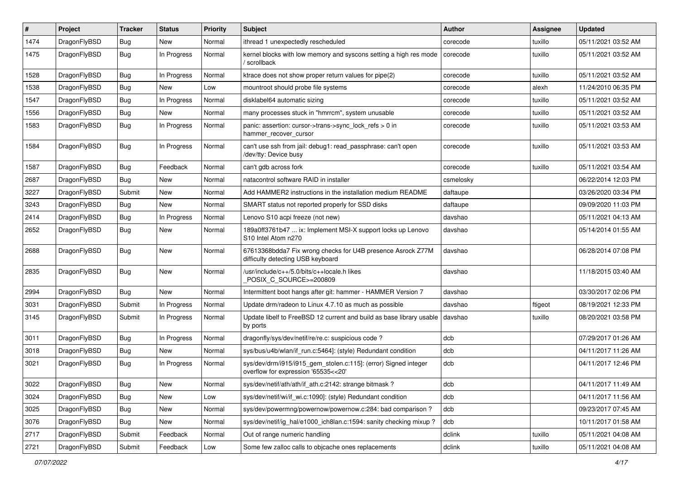| ∦    | Project      | <b>Tracker</b> | <b>Status</b> | <b>Priority</b> | <b>Subject</b>                                                                                         | Author    | Assignee | <b>Updated</b>      |
|------|--------------|----------------|---------------|-----------------|--------------------------------------------------------------------------------------------------------|-----------|----------|---------------------|
| 1474 | DragonFlyBSD | <b>Bug</b>     | New           | Normal          | ithread 1 unexpectedly rescheduled                                                                     | corecode  | tuxillo  | 05/11/2021 03:52 AM |
| 1475 | DragonFlyBSD | Bug            | In Progress   | Normal          | kernel blocks with low memory and syscons setting a high res mode<br>scrollback                        | corecode  | tuxillo  | 05/11/2021 03:52 AM |
| 1528 | DragonFlyBSD | Bug            | In Progress   | Normal          | ktrace does not show proper return values for pipe(2)                                                  | corecode  | tuxillo  | 05/11/2021 03:52 AM |
| 1538 | DragonFlyBSD | <b>Bug</b>     | <b>New</b>    | Low             | mountroot should probe file systems                                                                    | corecode  | alexh    | 11/24/2010 06:35 PM |
| 1547 | DragonFlyBSD | <b>Bug</b>     | In Progress   | Normal          | disklabel64 automatic sizing                                                                           | corecode  | tuxillo  | 05/11/2021 03:52 AM |
| 1556 | DragonFlyBSD | Bug            | <b>New</b>    | Normal          | many processes stuck in "hmrrcm", system unusable                                                      | corecode  | tuxillo  | 05/11/2021 03:52 AM |
| 1583 | DragonFlyBSD | <b>Bug</b>     | In Progress   | Normal          | panic: assertion: cursor->trans->sync_lock_refs > 0 in<br>hammer_recover_cursor                        | corecode  | tuxillo  | 05/11/2021 03:53 AM |
| 1584 | DragonFlyBSD | <b>Bug</b>     | In Progress   | Normal          | can't use ssh from jail: debug1: read passphrase: can't open<br>/dev/tty: Device busy                  | corecode  | tuxillo  | 05/11/2021 03:53 AM |
| 1587 | DragonFlyBSD | Bug            | Feedback      | Normal          | can't gdb across fork                                                                                  | corecode  | tuxillo  | 05/11/2021 03:54 AM |
| 2687 | DragonFlyBSD | Bug            | <b>New</b>    | Normal          | natacontrol software RAID in installer                                                                 | csmelosky |          | 06/22/2014 12:03 PM |
| 3227 | DragonFlyBSD | Submit         | New           | Normal          | Add HAMMER2 instructions in the installation medium README                                             | daftaupe  |          | 03/26/2020 03:34 PM |
| 3243 | DragonFlyBSD | Bug            | <b>New</b>    | Normal          | SMART status not reported properly for SSD disks                                                       | daftaupe  |          | 09/09/2020 11:03 PM |
| 2414 | DragonFlyBSD | <b>Bug</b>     | In Progress   | Normal          | Lenovo S10 acpi freeze (not new)                                                                       | davshao   |          | 05/11/2021 04:13 AM |
| 2652 | DragonFlyBSD | Bug            | <b>New</b>    | Normal          | 189a0ff3761b47  ix: Implement MSI-X support locks up Lenovo<br>S10 Intel Atom n270                     | davshao   |          | 05/14/2014 01:55 AM |
| 2688 | DragonFlyBSD | <b>Bug</b>     | <b>New</b>    | Normal          | 67613368bdda7 Fix wrong checks for U4B presence Asrock Z77M<br>difficulty detecting USB keyboard       | davshao   |          | 06/28/2014 07:08 PM |
| 2835 | DragonFlyBSD | Bug            | <b>New</b>    | Normal          | /usr/include/c++/5.0/bits/c++locale.h likes<br>POSIX C_SOURCE>=200809                                  | davshao   |          | 11/18/2015 03:40 AM |
| 2994 | DragonFlyBSD | Bug            | New           | Normal          | Intermittent boot hangs after git: hammer - HAMMER Version 7                                           | davshao   |          | 03/30/2017 02:06 PM |
| 3031 | DragonFlyBSD | Submit         | In Progress   | Normal          | Update drm/radeon to Linux 4.7.10 as much as possible                                                  | davshao   | ftigeot  | 08/19/2021 12:33 PM |
| 3145 | DragonFlyBSD | Submit         | In Progress   | Normal          | Update libelf to FreeBSD 12 current and build as base library usable<br>by ports                       | davshao   | tuxillo  | 08/20/2021 03:58 PM |
| 3011 | DragonFlyBSD | <b>Bug</b>     | In Progress   | Normal          | dragonfly/sys/dev/netif/re/re.c: suspicious code?                                                      | dcb       |          | 07/29/2017 01:26 AM |
| 3018 | DragonFlyBSD | Bug            | <b>New</b>    | Normal          | sys/bus/u4b/wlan/if_run.c:5464]: (style) Redundant condition                                           | dcb       |          | 04/11/2017 11:26 AM |
| 3021 | DragonFlyBSD | Bug            | In Progress   | Normal          | sys/dev/drm/i915/i915_gem_stolen.c:115]: (error) Signed integer<br>overflow for expression '65535<<20' | dcb       |          | 04/11/2017 12:46 PM |
| 3022 | DragonFlyBSD | Bug            | New           | Normal          | sys/dev/netif/ath/ath/if_ath.c:2142: strange bitmask?                                                  | dcb       |          | 04/11/2017 11:49 AM |
| 3024 | DragonFlyBSD | Bug            | New           | Low             | sys/dev/netif/wi/if_wi.c:1090]: (style) Redundant condition                                            | dcb       |          | 04/11/2017 11:56 AM |
| 3025 | DragonFlyBSD | <b>Bug</b>     | New           | Normal          | sys/dev/powermng/powernow/powernow.c:284: bad comparison?                                              | dcb       |          | 09/23/2017 07:45 AM |
| 3076 | DragonFlyBSD | <b>Bug</b>     | New           | Normal          | sys/dev/netif/ig_hal/e1000_ich8lan.c:1594: sanity checking mixup ?                                     | dcb       |          | 10/11/2017 01:58 AM |
| 2717 | DragonFlyBSD | Submit         | Feedback      | Normal          | Out of range numeric handling                                                                          | dclink    | tuxillo  | 05/11/2021 04:08 AM |
| 2721 | DragonFlyBSD | Submit         | Feedback      | Low             | Some few zalloc calls to objcache ones replacements                                                    | dclink    | tuxillo  | 05/11/2021 04:08 AM |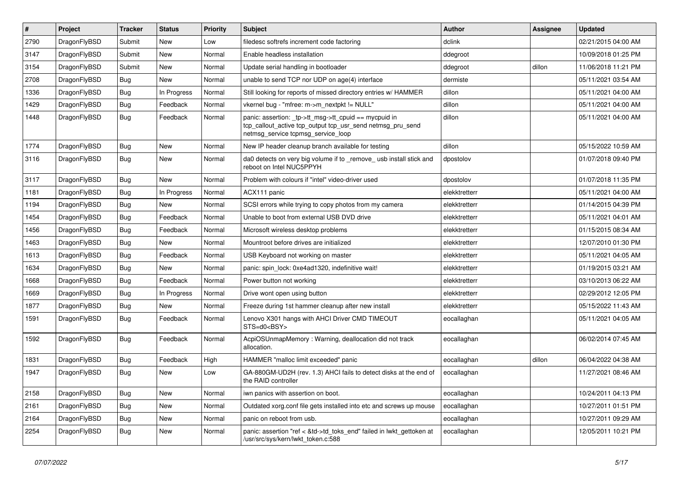| $\vert$ # | Project      | <b>Tracker</b> | <b>Status</b> | <b>Priority</b> | <b>Subject</b>                                                                                                                                            | <b>Author</b> | Assignee | <b>Updated</b>      |
|-----------|--------------|----------------|---------------|-----------------|-----------------------------------------------------------------------------------------------------------------------------------------------------------|---------------|----------|---------------------|
| 2790      | DragonFlyBSD | Submit         | <b>New</b>    | Low             | filedesc softrefs increment code factoring                                                                                                                | dclink        |          | 02/21/2015 04:00 AM |
| 3147      | DragonFlyBSD | Submit         | <b>New</b>    | Normal          | Enable headless installation                                                                                                                              | ddegroot      |          | 10/09/2018 01:25 PM |
| 3154      | DragonFlyBSD | Submit         | <b>New</b>    | Normal          | Update serial handling in bootloader                                                                                                                      | ddegroot      | dillon   | 11/06/2018 11:21 PM |
| 2708      | DragonFlyBSD | Bug            | <b>New</b>    | Normal          | unable to send TCP nor UDP on age(4) interface                                                                                                            | dermiste      |          | 05/11/2021 03:54 AM |
| 1336      | DragonFlyBSD | <b>Bug</b>     | In Progress   | Normal          | Still looking for reports of missed directory entries w/ HAMMER                                                                                           | dillon        |          | 05/11/2021 04:00 AM |
| 1429      | DragonFlyBSD | <b>Bug</b>     | Feedback      | Normal          | vkernel bug - "mfree: m->m_nextpkt != NULL"                                                                                                               | dillon        |          | 05/11/2021 04:00 AM |
| 1448      | DragonFlyBSD | Bug            | Feedback      | Normal          | panic: assertion: _tp->tt_msg->tt_cpuid == mycpuid in<br>tcp_callout_active tcp_output tcp_usr_send netmsg_pru_send<br>netmsg_service tcpmsg_service_loop | dillon        |          | 05/11/2021 04:00 AM |
| 1774      | DragonFlyBSD | Bug            | <b>New</b>    | Normal          | New IP header cleanup branch available for testing                                                                                                        | dillon        |          | 05/15/2022 10:59 AM |
| 3116      | DragonFlyBSD | Bug            | <b>New</b>    | Normal          | da0 detects on very big volume if to _remove_ usb install stick and<br>reboot on Intel NUC5PPYH                                                           | dpostolov     |          | 01/07/2018 09:40 PM |
| 3117      | DragonFlyBSD | <b>Bug</b>     | <b>New</b>    | Normal          | Problem with colours if "intel" video-driver used                                                                                                         | dpostolov     |          | 01/07/2018 11:35 PM |
| 1181      | DragonFlyBSD | <b>Bug</b>     | In Progress   | Normal          | ACX111 panic                                                                                                                                              | elekktretterr |          | 05/11/2021 04:00 AM |
| 1194      | DragonFlyBSD | Bug            | <b>New</b>    | Normal          | SCSI errors while trying to copy photos from my camera                                                                                                    | elekktretterr |          | 01/14/2015 04:39 PM |
| 1454      | DragonFlyBSD | Bug            | Feedback      | Normal          | Unable to boot from external USB DVD drive                                                                                                                | elekktretterr |          | 05/11/2021 04:01 AM |
| 1456      | DragonFlyBSD | <b>Bug</b>     | Feedback      | Normal          | Microsoft wireless desktop problems                                                                                                                       | elekktretterr |          | 01/15/2015 08:34 AM |
| 1463      | DragonFlyBSD | <b>Bug</b>     | <b>New</b>    | Normal          | Mountroot before drives are initialized                                                                                                                   | elekktretterr |          | 12/07/2010 01:30 PM |
| 1613      | DragonFlyBSD | <b>Bug</b>     | Feedback      | Normal          | USB Keyboard not working on master                                                                                                                        | elekktretterr |          | 05/11/2021 04:05 AM |
| 1634      | DragonFlyBSD | Bug            | New           | Normal          | panic: spin lock: 0xe4ad1320, indefinitive wait!                                                                                                          | elekktretterr |          | 01/19/2015 03:21 AM |
| 1668      | DragonFlyBSD | <b>Bug</b>     | Feedback      | Normal          | Power button not working                                                                                                                                  | elekktretterr |          | 03/10/2013 06:22 AM |
| 1669      | DragonFlyBSD | <b>Bug</b>     | In Progress   | Normal          | Drive wont open using button                                                                                                                              | elekktretterr |          | 02/29/2012 12:05 PM |
| 1877      | DragonFlyBSD | <b>Bug</b>     | <b>New</b>    | Normal          | Freeze during 1st hammer cleanup after new install                                                                                                        | elekktretterr |          | 05/15/2022 11:43 AM |
| 1591      | DragonFlyBSD | <b>Bug</b>     | Feedback      | Normal          | Lenovo X301 hangs with AHCI Driver CMD TIMEOUT<br>STS=d0 <bsy></bsy>                                                                                      | eocallaghan   |          | 05/11/2021 04:05 AM |
| 1592      | DragonFlyBSD | <b>Bug</b>     | Feedback      | Normal          | AcpiOSUnmapMemory: Warning, deallocation did not track<br>allocation.                                                                                     | eocallaghan   |          | 06/02/2014 07:45 AM |
| 1831      | DragonFlyBSD | Bug            | Feedback      | High            | HAMMER "malloc limit exceeded" panic                                                                                                                      | eocallaghan   | dillon   | 06/04/2022 04:38 AM |
| 1947      | DragonFlyBSD | <b>Bug</b>     | <b>New</b>    | Low             | GA-880GM-UD2H (rev. 1.3) AHCI fails to detect disks at the end of<br>the RAID controller                                                                  | eocallaghan   |          | 11/27/2021 08:46 AM |
| 2158      | DragonFlyBSD | Bug            | New           | Normal          | iwn panics with assertion on boot.                                                                                                                        | eocallaghan   |          | 10/24/2011 04:13 PM |
| 2161      | DragonFlyBSD | <b>Bug</b>     | New           | Normal          | Outdated xorg.conf file gets installed into etc and screws up mouse                                                                                       | eocallaghan   |          | 10/27/2011 01:51 PM |
| 2164      | DragonFlyBSD | <b>Bug</b>     | New           | Normal          | panic on reboot from usb.                                                                                                                                 | eocallaghan   |          | 10/27/2011 09:29 AM |
| 2254      | DragonFlyBSD | <b>Bug</b>     | New           | Normal          | panic: assertion "ref < &td->td_toks_end" failed in lwkt_gettoken at<br>/usr/src/sys/kern/lwkt_token.c:588                                                | eocallaghan   |          | 12/05/2011 10:21 PM |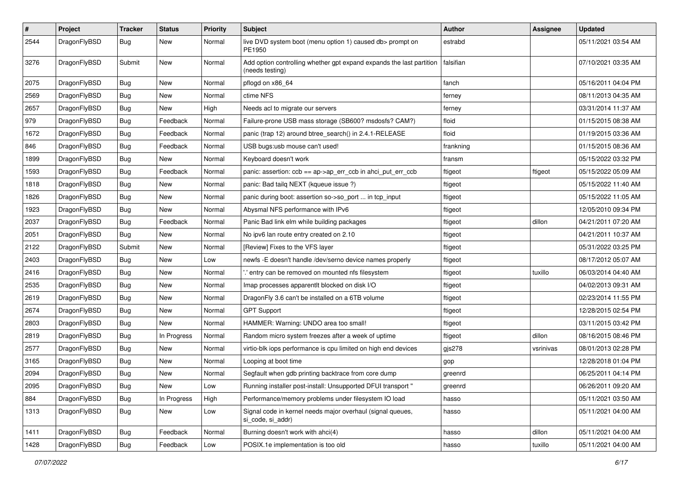| $\sharp$ | Project      | <b>Tracker</b> | <b>Status</b> | <b>Priority</b> | Subject                                                                                 | <b>Author</b> | Assignee  | <b>Updated</b>      |
|----------|--------------|----------------|---------------|-----------------|-----------------------------------------------------------------------------------------|---------------|-----------|---------------------|
| 2544     | DragonFlyBSD | Bug            | New           | Normal          | live DVD system boot (menu option 1) caused db> prompt on<br>PE1950                     | estrabd       |           | 05/11/2021 03:54 AM |
| 3276     | DragonFlyBSD | Submit         | New           | Normal          | Add option controlling whether gpt expand expands the last partition<br>(needs testing) | falsifian     |           | 07/10/2021 03:35 AM |
| 2075     | DragonFlyBSD | Bug            | <b>New</b>    | Normal          | pflogd on x86_64                                                                        | fanch         |           | 05/16/2011 04:04 PM |
| 2569     | DragonFlyBSD | <b>Bug</b>     | New           | Normal          | ctime NFS                                                                               | ferney        |           | 08/11/2013 04:35 AM |
| 2657     | DragonFlyBSD | Bug            | New           | High            | Needs acl to migrate our servers                                                        | ferney        |           | 03/31/2014 11:37 AM |
| 979      | DragonFlyBSD | <b>Bug</b>     | Feedback      | Normal          | Failure-prone USB mass storage (SB600? msdosfs? CAM?)                                   | floid         |           | 01/15/2015 08:38 AM |
| 1672     | DragonFlyBSD | <b>Bug</b>     | Feedback      | Normal          | panic (trap 12) around btree_search() in 2.4.1-RELEASE                                  | floid         |           | 01/19/2015 03:36 AM |
| 846      | DragonFlyBSD | Bug            | Feedback      | Normal          | USB bugs:usb mouse can't used!                                                          | frankning     |           | 01/15/2015 08:36 AM |
| 1899     | DragonFlyBSD | <b>Bug</b>     | New           | Normal          | Keyboard doesn't work                                                                   | fransm        |           | 05/15/2022 03:32 PM |
| 1593     | DragonFlyBSD | Bug            | Feedback      | Normal          | panic: assertion: ccb == ap->ap_err_ccb in ahci_put_err_ccb                             | ftigeot       | ftigeot   | 05/15/2022 05:09 AM |
| 1818     | DragonFlyBSD | <b>Bug</b>     | New           | Normal          | panic: Bad tailq NEXT (kqueue issue ?)                                                  | ftigeot       |           | 05/15/2022 11:40 AM |
| 1826     | DragonFlyBSD | Bug            | <b>New</b>    | Normal          | panic during boot: assertion so->so_port  in tcp_input                                  | ftigeot       |           | 05/15/2022 11:05 AM |
| 1923     | DragonFlyBSD | <b>Bug</b>     | <b>New</b>    | Normal          | Abysmal NFS performance with IPv6                                                       | ftigeot       |           | 12/05/2010 09:34 PM |
| 2037     | DragonFlyBSD | <b>Bug</b>     | Feedback      | Normal          | Panic Bad link elm while building packages                                              | ftigeot       | dillon    | 04/21/2011 07:20 AM |
| 2051     | DragonFlyBSD | Bug            | New           | Normal          | No ipv6 lan route entry created on 2.10                                                 | ftigeot       |           | 04/21/2011 10:37 AM |
| 2122     | DragonFlyBSD | Submit         | New           | Normal          | [Review] Fixes to the VFS layer                                                         | ftigeot       |           | 05/31/2022 03:25 PM |
| 2403     | DragonFlyBSD | Bug            | <b>New</b>    | Low             | newfs - E doesn't handle /dev/serno device names properly                               | ftigeot       |           | 08/17/2012 05:07 AM |
| 2416     | DragonFlyBSD | Bug            | New           | Normal          | ".' entry can be removed on mounted nfs filesystem                                      | ftigeot       | tuxillo   | 06/03/2014 04:40 AM |
| 2535     | DragonFlyBSD | <b>Bug</b>     | <b>New</b>    | Normal          | Imap processes apparentlt blocked on disk I/O                                           | ftigeot       |           | 04/02/2013 09:31 AM |
| 2619     | DragonFlyBSD | <b>Bug</b>     | <b>New</b>    | Normal          | DragonFly 3.6 can't be installed on a 6TB volume                                        | ftigeot       |           | 02/23/2014 11:55 PM |
| 2674     | DragonFlyBSD | <b>Bug</b>     | New           | Normal          | <b>GPT Support</b>                                                                      | ftigeot       |           | 12/28/2015 02:54 PM |
| 2803     | DragonFlyBSD | <b>Bug</b>     | New           | Normal          | HAMMER: Warning: UNDO area too small!                                                   | ftigeot       |           | 03/11/2015 03:42 PM |
| 2819     | DragonFlyBSD | <b>Bug</b>     | In Progress   | Normal          | Random micro system freezes after a week of uptime                                      | ftigeot       | dillon    | 08/16/2015 08:46 PM |
| 2577     | DragonFlyBSD | Bug            | New           | Normal          | virtio-blk iops performance is cpu limited on high end devices                          | gjs278        | vsrinivas | 08/01/2013 02:28 PM |
| 3165     | DragonFlyBSD | <b>Bug</b>     | New           | Normal          | Looping at boot time                                                                    | gop           |           | 12/28/2018 01:04 PM |
| 2094     | DragonFlyBSD | Bug            | <b>New</b>    | Normal          | Segfault when gdb printing backtrace from core dump                                     | greenrd       |           | 06/25/2011 04:14 PM |
| 2095     | DragonFlyBSD | Bug            | New           | Low             | Running installer post-install: Unsupported DFUI transport "                            | greenrd       |           | 06/26/2011 09:20 AM |
| 884      | DragonFlyBSD | Bug            | In Progress   | High            | Performance/memory problems under filesystem IO load                                    | hasso         |           | 05/11/2021 03:50 AM |
| 1313     | DragonFlyBSD | <b>Bug</b>     | New           | Low             | Signal code in kernel needs major overhaul (signal queues,<br>si_code, si_addr)         | hasso         |           | 05/11/2021 04:00 AM |
| 1411     | DragonFlyBSD | Bug            | Feedback      | Normal          | Burning doesn't work with ahci(4)                                                       | hasso         | dillon    | 05/11/2021 04:00 AM |
| 1428     | DragonFlyBSD | <b>Bug</b>     | Feedback      | Low             | POSIX.1e implementation is too old                                                      | hasso         | tuxillo   | 05/11/2021 04:00 AM |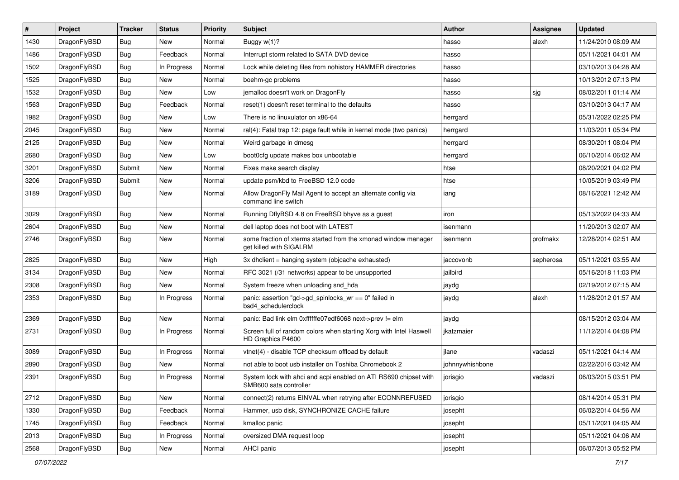| #    | Project      | <b>Tracker</b> | <b>Status</b> | <b>Priority</b> | Subject                                                                                    | <b>Author</b>   | <b>Assignee</b> | <b>Updated</b>      |
|------|--------------|----------------|---------------|-----------------|--------------------------------------------------------------------------------------------|-----------------|-----------------|---------------------|
| 1430 | DragonFlyBSD | Bug            | New           | Normal          | Buggy w(1)?                                                                                | hasso           | alexh           | 11/24/2010 08:09 AM |
| 1486 | DragonFlyBSD | Bug            | Feedback      | Normal          | Interrupt storm related to SATA DVD device                                                 | hasso           |                 | 05/11/2021 04:01 AM |
| 1502 | DragonFlyBSD | <b>Bug</b>     | In Progress   | Normal          | Lock while deleting files from nohistory HAMMER directories                                | hasso           |                 | 03/10/2013 04:28 AM |
| 1525 | DragonFlyBSD | <b>Bug</b>     | New           | Normal          | boehm-gc problems                                                                          | hasso           |                 | 10/13/2012 07:13 PM |
| 1532 | DragonFlyBSD | Bug            | <b>New</b>    | Low             | jemalloc doesn't work on DragonFly                                                         | hasso           | sjg             | 08/02/2011 01:14 AM |
| 1563 | DragonFlyBSD | <b>Bug</b>     | Feedback      | Normal          | reset(1) doesn't reset terminal to the defaults                                            | hasso           |                 | 03/10/2013 04:17 AM |
| 1982 | DragonFlyBSD | Bug            | New           | Low             | There is no linuxulator on x86-64                                                          | herrgard        |                 | 05/31/2022 02:25 PM |
| 2045 | DragonFlyBSD | <b>Bug</b>     | New           | Normal          | ral(4): Fatal trap 12: page fault while in kernel mode (two panics)                        | herrgard        |                 | 11/03/2011 05:34 PM |
| 2125 | DragonFlyBSD | <b>Bug</b>     | New           | Normal          | Weird garbage in dmesg                                                                     | herrgard        |                 | 08/30/2011 08:04 PM |
| 2680 | DragonFlyBSD | Bug            | <b>New</b>    | Low             | boot0cfg update makes box unbootable                                                       | herrgard        |                 | 06/10/2014 06:02 AM |
| 3201 | DragonFlyBSD | Submit         | New           | Normal          | Fixes make search display                                                                  | htse            |                 | 08/20/2021 04:02 PM |
| 3206 | DragonFlyBSD | Submit         | New           | Normal          | update psm/kbd to FreeBSD 12.0 code                                                        | htse            |                 | 10/05/2019 03:49 PM |
| 3189 | DragonFlyBSD | Bug            | <b>New</b>    | Normal          | Allow DragonFly Mail Agent to accept an alternate config via<br>command line switch        | iang            |                 | 08/16/2021 12:42 AM |
| 3029 | DragonFlyBSD | Bug            | <b>New</b>    | Normal          | Running DflyBSD 4.8 on FreeBSD bhyve as a guest                                            | iron            |                 | 05/13/2022 04:33 AM |
| 2604 | DragonFlyBSD | <b>Bug</b>     | New           | Normal          | dell laptop does not boot with LATEST                                                      | isenmann        |                 | 11/20/2013 02:07 AM |
| 2746 | DragonFlyBSD | <b>Bug</b>     | New           | Normal          | some fraction of xterms started from the xmonad window manager<br>get killed with SIGALRM  | isenmann        | profmakx        | 12/28/2014 02:51 AM |
| 2825 | DragonFlyBSD | <b>Bug</b>     | <b>New</b>    | High            | 3x dhclient = hanging system (objcache exhausted)                                          | jaccovonb       | sepherosa       | 05/11/2021 03:55 AM |
| 3134 | DragonFlyBSD | <b>Bug</b>     | New           | Normal          | RFC 3021 (/31 networks) appear to be unsupported                                           | jailbird        |                 | 05/16/2018 11:03 PM |
| 2308 | DragonFlyBSD | <b>Bug</b>     | <b>New</b>    | Normal          | System freeze when unloading snd_hda                                                       | jaydg           |                 | 02/19/2012 07:15 AM |
| 2353 | DragonFlyBSD | <b>Bug</b>     | In Progress   | Normal          | panic: assertion "gd->gd_spinlocks_wr == 0" failed in<br>bsd4_schedulerclock               | jaydg           | alexh           | 11/28/2012 01:57 AM |
| 2369 | DragonFlyBSD | Bug            | New           | Normal          | panic: Bad link elm 0xffffffe07edf6068 next->prev != elm                                   | jaydg           |                 | 08/15/2012 03:04 AM |
| 2731 | DragonFlyBSD | <b>Bug</b>     | In Progress   | Normal          | Screen full of random colors when starting Xorg with Intel Haswell<br>HD Graphics P4600    | jkatzmaier      |                 | 11/12/2014 04:08 PM |
| 3089 | DragonFlyBSD | Bug            | In Progress   | Normal          | vtnet(4) - disable TCP checksum offload by default                                         | jlane           | vadaszi         | 05/11/2021 04:14 AM |
| 2890 | DragonFlyBSD | <b>Bug</b>     | New           | Normal          | not able to boot usb installer on Toshiba Chromebook 2                                     | johnnywhishbone |                 | 02/22/2016 03:42 AM |
| 2391 | DragonFlyBSD | Bug            | In Progress   | Normal          | System lock with ahci and acpi enabled on ATI RS690 chipset with<br>SMB600 sata controller | jorisgio        | vadaszi         | 06/03/2015 03:51 PM |
| 2712 | DragonFlyBSD | Bug            | New           | Normal          | connect(2) returns EINVAL when retrying after ECONNREFUSED                                 | jorisgio        |                 | 08/14/2014 05:31 PM |
| 1330 | DragonFlyBSD | <b>Bug</b>     | Feedback      | Normal          | Hammer, usb disk, SYNCHRONIZE CACHE failure                                                | josepht         |                 | 06/02/2014 04:56 AM |
| 1745 | DragonFlyBSD | <b>Bug</b>     | Feedback      | Normal          | kmalloc panic                                                                              | josepht         |                 | 05/11/2021 04:05 AM |
| 2013 | DragonFlyBSD | <b>Bug</b>     | In Progress   | Normal          | oversized DMA request loop                                                                 | josepht         |                 | 05/11/2021 04:06 AM |
| 2568 | DragonFlyBSD | <b>Bug</b>     | New           | Normal          | AHCI panic                                                                                 | josepht         |                 | 06/07/2013 05:52 PM |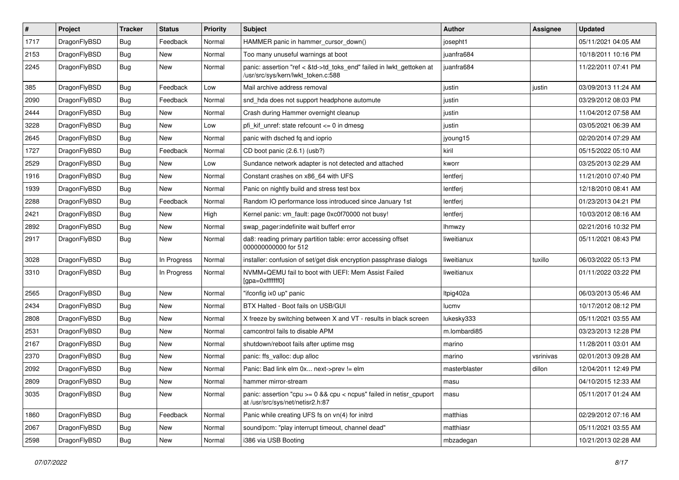| $\sharp$ | Project      | <b>Tracker</b> | <b>Status</b> | <b>Priority</b> | Subject                                                                                                    | <b>Author</b> | Assignee  | <b>Updated</b>      |
|----------|--------------|----------------|---------------|-----------------|------------------------------------------------------------------------------------------------------------|---------------|-----------|---------------------|
| 1717     | DragonFlyBSD | <b>Bug</b>     | Feedback      | Normal          | HAMMER panic in hammer cursor down()                                                                       | josepht1      |           | 05/11/2021 04:05 AM |
| 2153     | DragonFlyBSD | Bug            | New           | Normal          | Too many unuseful warnings at boot                                                                         | juanfra684    |           | 10/18/2011 10:16 PM |
| 2245     | DragonFlyBSD | <b>Bug</b>     | New           | Normal          | panic: assertion "ref < &td->td_toks_end" failed in lwkt_gettoken at<br>/usr/src/sys/kern/lwkt_token.c:588 | iuanfra684    |           | 11/22/2011 07:41 PM |
| 385      | DragonFlyBSD | Bug            | Feedback      | Low             | Mail archive address removal                                                                               | justin        | justin    | 03/09/2013 11:24 AM |
| 2090     | DragonFlyBSD | Bug            | Feedback      | Normal          | snd_hda does not support headphone automute                                                                | justin        |           | 03/29/2012 08:03 PM |
| 2444     | DragonFlyBSD | Bug            | New           | Normal          | Crash during Hammer overnight cleanup                                                                      | justin        |           | 11/04/2012 07:58 AM |
| 3228     | DragonFlyBSD | Bug            | New           | Low             | pfi kif unref: state refcount $\leq$ 0 in dmesg                                                            | justin        |           | 03/05/2021 06:39 AM |
| 2645     | DragonFlyBSD | Bug            | New           | Normal          | panic with dsched fq and ioprio                                                                            | jyoung15      |           | 02/20/2014 07:29 AM |
| 1727     | DragonFlyBSD | Bug            | Feedback      | Normal          | CD boot panic (2.6.1) (usb?)                                                                               | kiril         |           | 05/15/2022 05:10 AM |
| 2529     | DragonFlyBSD | Bug            | <b>New</b>    | Low             | Sundance network adapter is not detected and attached                                                      | kworr         |           | 03/25/2013 02:29 AM |
| 1916     | DragonFlyBSD | Bug            | New           | Normal          | Constant crashes on x86 64 with UFS                                                                        | lentferj      |           | 11/21/2010 07:40 PM |
| 1939     | DragonFlyBSD | <b>Bug</b>     | <b>New</b>    | Normal          | Panic on nightly build and stress test box                                                                 | lentferj      |           | 12/18/2010 08:41 AM |
| 2288     | DragonFlyBSD | Bug            | Feedback      | Normal          | Random IO performance loss introduced since January 1st                                                    | lentferj      |           | 01/23/2013 04:21 PM |
| 2421     | DragonFlyBSD | Bug            | New           | High            | Kernel panic: vm_fault: page 0xc0f70000 not busy!                                                          | lentferj      |           | 10/03/2012 08:16 AM |
| 2892     | DragonFlyBSD | Bug            | New           | Normal          | swap pager:indefinite wait bufferf error                                                                   | Ihmwzy        |           | 02/21/2016 10:32 PM |
| 2917     | DragonFlyBSD | <b>Bug</b>     | New           | Normal          | da8: reading primary partition table: error accessing offset<br>000000000000 for 512                       | liweitianux   |           | 05/11/2021 08:43 PM |
| 3028     | DragonFlyBSD | <b>Bug</b>     | In Progress   | Normal          | installer: confusion of set/get disk encryption passphrase dialogs                                         | liweitianux   | tuxillo   | 06/03/2022 05:13 PM |
| 3310     | DragonFlyBSD | <b>Bug</b>     | In Progress   | Normal          | NVMM+QEMU fail to boot with UEFI: Mem Assist Failed<br>[gpa=0xfffffff0]                                    | liweitianux   |           | 01/11/2022 03:22 PM |
| 2565     | DragonFlyBSD | <b>Bug</b>     | <b>New</b>    | Normal          | "ifconfig ix0 up" panic                                                                                    | Itpig402a     |           | 06/03/2013 05:46 AM |
| 2434     | DragonFlyBSD | <b>Bug</b>     | <b>New</b>    | Normal          | BTX Halted - Boot fails on USB/GUI                                                                         | lucmv         |           | 10/17/2012 08:12 PM |
| 2808     | DragonFlyBSD | <b>Bug</b>     | <b>New</b>    | Normal          | X freeze by switching between X and VT - results in black screen                                           | lukesky333    |           | 05/11/2021 03:55 AM |
| 2531     | DragonFlyBSD | <b>Bug</b>     | New           | Normal          | camcontrol fails to disable APM                                                                            | m.lombardi85  |           | 03/23/2013 12:28 PM |
| 2167     | DragonFlyBSD | <b>Bug</b>     | <b>New</b>    | Normal          | shutdown/reboot fails after uptime msg                                                                     | marino        |           | 11/28/2011 03:01 AM |
| 2370     | DragonFlyBSD | <b>Bug</b>     | <b>New</b>    | Normal          | panic: ffs_valloc: dup alloc                                                                               | marino        | vsrinivas | 02/01/2013 09:28 AM |
| 2092     | DragonFlyBSD | <b>Bug</b>     | New           | Normal          | Panic: Bad link elm 0x next->prev != elm                                                                   | masterblaster | dillon    | 12/04/2011 12:49 PM |
| 2809     | DragonFlyBSD | Bug            | <b>New</b>    | Normal          | hammer mirror-stream                                                                                       | masu          |           | 04/10/2015 12:33 AM |
| 3035     | DragonFlyBSD | Bug            | New           | Normal          | panic: assertion "cpu >= 0 && cpu < ncpus" failed in netisr_cpuport<br>at /usr/src/sys/net/netisr2.h:87    | masu          |           | 05/11/2017 01:24 AM |
| 1860     | DragonFlyBSD | Bug            | Feedback      | Normal          | Panic while creating UFS fs on vn(4) for initrd                                                            | matthias      |           | 02/29/2012 07:16 AM |
| 2067     | DragonFlyBSD | <b>Bug</b>     | New           | Normal          | sound/pcm: "play interrupt timeout, channel dead"                                                          | matthiasr     |           | 05/11/2021 03:55 AM |
| 2598     | DragonFlyBSD | <b>Bug</b>     | New           | Normal          | i386 via USB Booting                                                                                       | mbzadegan     |           | 10/21/2013 02:28 AM |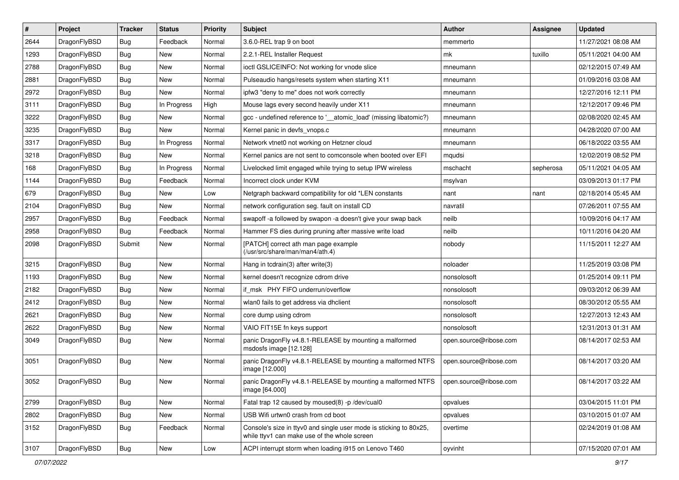| #    | Project      | <b>Tracker</b> | <b>Status</b> | <b>Priority</b> | Subject                                                                                                            | <b>Author</b>          | <b>Assignee</b> | <b>Updated</b>      |
|------|--------------|----------------|---------------|-----------------|--------------------------------------------------------------------------------------------------------------------|------------------------|-----------------|---------------------|
| 2644 | DragonFlyBSD | <b>Bug</b>     | Feedback      | Normal          | 3.6.0-REL trap 9 on boot                                                                                           | memmerto               |                 | 11/27/2021 08:08 AM |
| 1293 | DragonFlyBSD | <b>Bug</b>     | <b>New</b>    | Normal          | 2.2.1-REL Installer Request                                                                                        | mk                     | tuxillo         | 05/11/2021 04:00 AM |
| 2788 | DragonFlyBSD | <b>Bug</b>     | New           | Normal          | ioctl GSLICEINFO: Not working for vnode slice                                                                      | mneumann               |                 | 02/12/2015 07:49 AM |
| 2881 | DragonFlyBSD | <b>Bug</b>     | New           | Normal          | Pulseaudio hangs/resets system when starting X11                                                                   | mneumann               |                 | 01/09/2016 03:08 AM |
| 2972 | DragonFlyBSD | <b>Bug</b>     | <b>New</b>    | Normal          | ipfw3 "deny to me" does not work correctly                                                                         | mneumann               |                 | 12/27/2016 12:11 PM |
| 3111 | DragonFlyBSD | <b>Bug</b>     | In Progress   | High            | Mouse lags every second heavily under X11                                                                          | mneumann               |                 | 12/12/2017 09:46 PM |
| 3222 | DragonFlyBSD | <b>Bug</b>     | New           | Normal          | gcc - undefined reference to '__atomic_load' (missing libatomic?)                                                  | mneumann               |                 | 02/08/2020 02:45 AM |
| 3235 | DragonFlyBSD | <b>Bug</b>     | New           | Normal          | Kernel panic in devfs vnops.c                                                                                      | mneumann               |                 | 04/28/2020 07:00 AM |
| 3317 | DragonFlyBSD | <b>Bug</b>     | In Progress   | Normal          | Network vtnet0 not working on Hetzner cloud                                                                        | mneumann               |                 | 06/18/2022 03:55 AM |
| 3218 | DragonFlyBSD | <b>Bug</b>     | New           | Normal          | Kernel panics are not sent to comconsole when booted over EFI                                                      | mqudsi                 |                 | 12/02/2019 08:52 PM |
| 168  | DragonFlyBSD | <b>Bug</b>     | In Progress   | Normal          | Livelocked limit engaged while trying to setup IPW wireless                                                        | mschacht               | sepherosa       | 05/11/2021 04:05 AM |
| 1144 | DragonFlyBSD | <b>Bug</b>     | Feedback      | Normal          | Incorrect clock under KVM                                                                                          | msylvan                |                 | 03/09/2013 01:17 PM |
| 679  | DragonFlyBSD | <b>Bug</b>     | New           | Low             | Netgraph backward compatibility for old *LEN constants                                                             | nant                   | nant            | 02/18/2014 05:45 AM |
| 2104 | DragonFlyBSD | <b>Bug</b>     | New           | Normal          | network configuration seg. fault on install CD                                                                     | navratil               |                 | 07/26/2011 07:55 AM |
| 2957 | DragonFlyBSD | Bug            | Feedback      | Normal          | swapoff -a followed by swapon -a doesn't give your swap back                                                       | neilb                  |                 | 10/09/2016 04:17 AM |
| 2958 | DragonFlyBSD | Bug            | Feedback      | Normal          | Hammer FS dies during pruning after massive write load                                                             | neilb                  |                 | 10/11/2016 04:20 AM |
| 2098 | DragonFlyBSD | Submit         | New           | Normal          | [PATCH] correct ath man page example<br>(/usr/src/share/man/man4/ath.4)                                            | nobody                 |                 | 11/15/2011 12:27 AM |
| 3215 | DragonFlyBSD | Bug            | New           | Normal          | Hang in tcdrain(3) after write(3)                                                                                  | noloader               |                 | 11/25/2019 03:08 PM |
| 1193 | DragonFlyBSD | Bug            | New           | Normal          | kernel doesn't recognize cdrom drive                                                                               | nonsolosoft            |                 | 01/25/2014 09:11 PM |
| 2182 | DragonFlyBSD | Bug            | New           | Normal          | if msk PHY FIFO underrun/overflow                                                                                  | nonsolosoft            |                 | 09/03/2012 06:39 AM |
| 2412 | DragonFlyBSD | Bug            | <b>New</b>    | Normal          | wlan0 fails to get address via dhclient                                                                            | nonsolosoft            |                 | 08/30/2012 05:55 AM |
| 2621 | DragonFlyBSD | Bug            | New           | Normal          | core dump using cdrom                                                                                              | nonsolosoft            |                 | 12/27/2013 12:43 AM |
| 2622 | DragonFlyBSD | Bug            | New           | Normal          | VAIO FIT15E fn keys support                                                                                        | nonsolosoft            |                 | 12/31/2013 01:31 AM |
| 3049 | DragonFlyBSD | Bug            | New           | Normal          | panic DragonFly v4.8.1-RELEASE by mounting a malformed<br>msdosfs image [12.128]                                   | open.source@ribose.com |                 | 08/14/2017 02:53 AM |
| 3051 | DragonFlyBSD | Bug            | New           | Normal          | panic DragonFly v4.8.1-RELEASE by mounting a malformed NTFS<br>image [12.000]                                      | open.source@ribose.com |                 | 08/14/2017 03:20 AM |
| 3052 | DragonFlyBSD | Bug            | New           | Normal          | panic DragonFly v4.8.1-RELEASE by mounting a malformed NTFS<br>image [64.000]                                      | open.source@ribose.com |                 | 08/14/2017 03:22 AM |
| 2799 | DragonFlyBSD | <b>Bug</b>     | New           | Normal          | Fatal trap 12 caused by moused(8) -p /dev/cual0                                                                    | opvalues               |                 | 03/04/2015 11:01 PM |
| 2802 | DragonFlyBSD | <b>Bug</b>     | New           | Normal          | USB Wifi urtwn0 crash from cd boot                                                                                 | opvalues               |                 | 03/10/2015 01:07 AM |
| 3152 | DragonFlyBSD | <b>Bug</b>     | Feedback      | Normal          | Console's size in ttyv0 and single user mode is sticking to 80x25,<br>while ttyv1 can make use of the whole screen | overtime               |                 | 02/24/2019 01:08 AM |
| 3107 | DragonFlyBSD | Bug            | New           | Low             | ACPI interrupt storm when loading i915 on Lenovo T460                                                              | oyvinht                |                 | 07/15/2020 07:01 AM |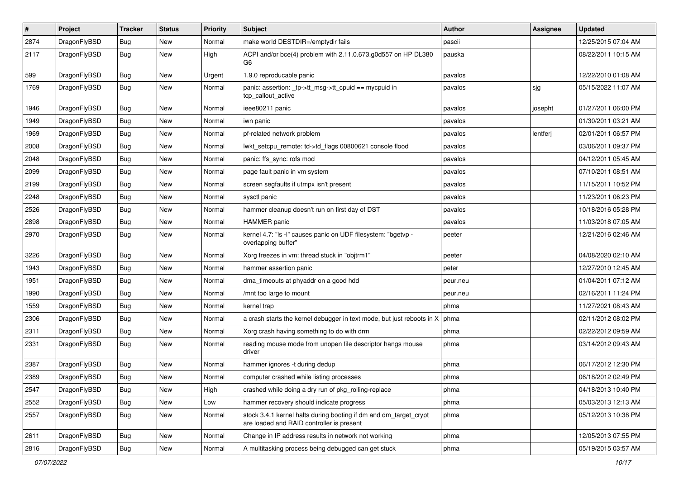| $\pmb{\#}$ | Project      | <b>Tracker</b> | <b>Status</b> | <b>Priority</b> | Subject                                                                                                        | <b>Author</b> | Assignee | <b>Updated</b>      |
|------------|--------------|----------------|---------------|-----------------|----------------------------------------------------------------------------------------------------------------|---------------|----------|---------------------|
| 2874       | DragonFlyBSD | Bug            | New           | Normal          | make world DESTDIR=/emptydir fails                                                                             | pascii        |          | 12/25/2015 07:04 AM |
| 2117       | DragonFlyBSD | Bug            | <b>New</b>    | High            | ACPI and/or bce(4) problem with 2.11.0.673.g0d557 on HP DL380<br>G6                                            | pauska        |          | 08/22/2011 10:15 AM |
| 599        | DragonFlyBSD | Bug            | <b>New</b>    | Urgent          | 1.9.0 reproducable panic                                                                                       | pavalos       |          | 12/22/2010 01:08 AM |
| 1769       | DragonFlyBSD | Bug            | <b>New</b>    | Normal          | panic: assertion: _tp->tt_msg->tt_cpuid == mycpuid in<br>tcp callout active                                    | pavalos       | sjg      | 05/15/2022 11:07 AM |
| 1946       | DragonFlyBSD | Bug            | New           | Normal          | ieee80211 panic                                                                                                | pavalos       | josepht  | 01/27/2011 06:00 PM |
| 1949       | DragonFlyBSD | Bug            | <b>New</b>    | Normal          | iwn panic                                                                                                      | pavalos       |          | 01/30/2011 03:21 AM |
| 1969       | DragonFlyBSD | Bug            | New           | Normal          | pf-related network problem                                                                                     | pavalos       | lentferj | 02/01/2011 06:57 PM |
| 2008       | DragonFlyBSD | Bug            | New           | Normal          | lwkt_setcpu_remote: td->td_flags 00800621 console flood                                                        | pavalos       |          | 03/06/2011 09:37 PM |
| 2048       | DragonFlyBSD | <b>Bug</b>     | <b>New</b>    | Normal          | panic: ffs_sync: rofs mod                                                                                      | pavalos       |          | 04/12/2011 05:45 AM |
| 2099       | DragonFlyBSD | Bug            | New           | Normal          | page fault panic in vm system                                                                                  | pavalos       |          | 07/10/2011 08:51 AM |
| 2199       | DragonFlyBSD | <b>Bug</b>     | <b>New</b>    | Normal          | screen segfaults if utmpx isn't present                                                                        | pavalos       |          | 11/15/2011 10:52 PM |
| 2248       | DragonFlyBSD | <b>Bug</b>     | <b>New</b>    | Normal          | sysctl panic                                                                                                   | pavalos       |          | 11/23/2011 06:23 PM |
| 2526       | DragonFlyBSD | Bug            | <b>New</b>    | Normal          | hammer cleanup doesn't run on first day of DST                                                                 | pavalos       |          | 10/18/2016 05:28 PM |
| 2898       | DragonFlyBSD | Bug            | New           | Normal          | <b>HAMMER</b> panic                                                                                            | pavalos       |          | 11/03/2018 07:05 AM |
| 2970       | DragonFlyBSD | Bug            | <b>New</b>    | Normal          | kernel 4.7: "Is -I" causes panic on UDF filesystem: "bgetvp -<br>overlapping buffer"                           | peeter        |          | 12/21/2016 02:46 AM |
| 3226       | DragonFlyBSD | <b>Bug</b>     | <b>New</b>    | Normal          | Xorg freezes in vm: thread stuck in "objtrm1"                                                                  | peeter        |          | 04/08/2020 02:10 AM |
| 1943       | DragonFlyBSD | Bug            | <b>New</b>    | Normal          | hammer assertion panic                                                                                         | peter         |          | 12/27/2010 12:45 AM |
| 1951       | DragonFlyBSD | Bug            | <b>New</b>    | Normal          | dma_timeouts at phyaddr on a good hdd                                                                          | peur.neu      |          | 01/04/2011 07:12 AM |
| 1990       | DragonFlyBSD | Bug            | <b>New</b>    | Normal          | /mnt too large to mount                                                                                        | peur.neu      |          | 02/16/2011 11:24 PM |
| 1559       | DragonFlyBSD | Bug            | <b>New</b>    | Normal          | kernel trap                                                                                                    | phma          |          | 11/27/2021 08:43 AM |
| 2306       | DragonFlyBSD | Bug            | <b>New</b>    | Normal          | a crash starts the kernel debugger in text mode, but just reboots in X                                         | phma          |          | 02/11/2012 08:02 PM |
| 2311       | DragonFlyBSD | <b>Bug</b>     | <b>New</b>    | Normal          | Xorg crash having something to do with drm                                                                     | phma          |          | 02/22/2012 09:59 AM |
| 2331       | DragonFlyBSD | Bug            | <b>New</b>    | Normal          | reading mouse mode from unopen file descriptor hangs mouse<br>driver                                           | phma          |          | 03/14/2012 09:43 AM |
| 2387       | DragonFlyBSD | Bug            | New           | Normal          | hammer ignores -t during dedup                                                                                 | phma          |          | 06/17/2012 12:30 PM |
| 2389       | DragonFlyBSD | <b>Bug</b>     | <b>New</b>    | Normal          | computer crashed while listing processes                                                                       | phma          |          | 06/18/2012 02:49 PM |
| 2547       | DragonFlyBSD | <b>Bug</b>     | New           | High            | crashed while doing a dry run of pkg_rolling-replace                                                           | phma          |          | 04/18/2013 10:40 PM |
| 2552       | DragonFlyBSD | Bug            | New           | Low             | hammer recovery should indicate progress                                                                       | phma          |          | 05/03/2013 12:13 AM |
| 2557       | DragonFlyBSD | <b>Bug</b>     | New           | Normal          | stock 3.4.1 kernel halts during booting if dm and dm_target_crypt<br>are loaded and RAID controller is present | phma          |          | 05/12/2013 10:38 PM |
| 2611       | DragonFlyBSD | Bug            | New           | Normal          | Change in IP address results in network not working                                                            | phma          |          | 12/05/2013 07:55 PM |
| 2816       | DragonFlyBSD | <b>Bug</b>     | New           | Normal          | A multitasking process being debugged can get stuck                                                            | phma          |          | 05/19/2015 03:57 AM |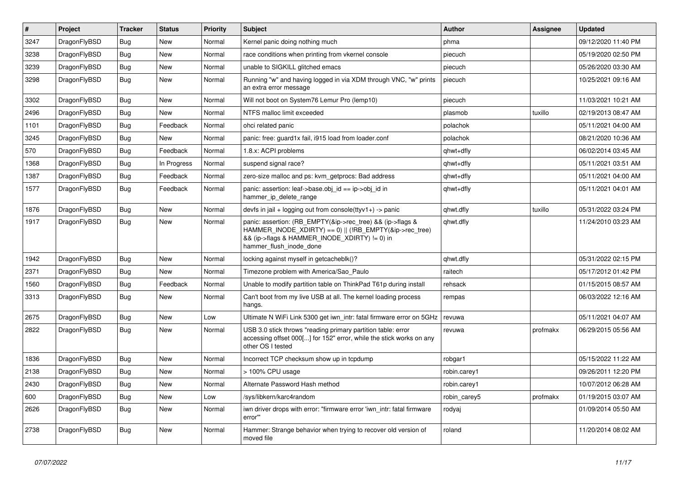| $\vert$ # | Project      | <b>Tracker</b> | <b>Status</b> | <b>Priority</b> | <b>Subject</b>                                                                                                                                                                                    | <b>Author</b> | Assignee | <b>Updated</b>      |
|-----------|--------------|----------------|---------------|-----------------|---------------------------------------------------------------------------------------------------------------------------------------------------------------------------------------------------|---------------|----------|---------------------|
| 3247      | DragonFlyBSD | Bug            | <b>New</b>    | Normal          | Kernel panic doing nothing much                                                                                                                                                                   | phma          |          | 09/12/2020 11:40 PM |
| 3238      | DragonFlyBSD | Bug            | New           | Normal          | race conditions when printing from vkernel console                                                                                                                                                | piecuch       |          | 05/19/2020 02:50 PM |
| 3239      | DragonFlyBSD | Bug            | New           | Normal          | unable to SIGKILL glitched emacs                                                                                                                                                                  | piecuch       |          | 05/26/2020 03:30 AM |
| 3298      | DragonFlyBSD | Bug            | New           | Normal          | Running "w" and having logged in via XDM through VNC, "w" prints<br>an extra error message                                                                                                        | piecuch       |          | 10/25/2021 09:16 AM |
| 3302      | DragonFlyBSD | Bug            | <b>New</b>    | Normal          | Will not boot on System76 Lemur Pro (lemp10)                                                                                                                                                      | piecuch       |          | 11/03/2021 10:21 AM |
| 2496      | DragonFlyBSD | Bug            | <b>New</b>    | Normal          | NTFS malloc limit exceeded                                                                                                                                                                        | plasmob       | tuxillo  | 02/19/2013 08:47 AM |
| 1101      | DragonFlyBSD | <b>Bug</b>     | Feedback      | Normal          | ohci related panic                                                                                                                                                                                | polachok      |          | 05/11/2021 04:00 AM |
| 3245      | DragonFlyBSD | <b>Bug</b>     | New           | Normal          | panic: free: guard1x fail, i915 load from loader.conf                                                                                                                                             | polachok      |          | 08/21/2020 10:36 AM |
| 570       | DragonFlyBSD | <b>Bug</b>     | Feedback      | Normal          | 1.8.x: ACPI problems                                                                                                                                                                              | qhwt+dfly     |          | 06/02/2014 03:45 AM |
| 1368      | DragonFlyBSD | <b>Bug</b>     | In Progress   | Normal          | suspend signal race?                                                                                                                                                                              | qhwt+dfly     |          | 05/11/2021 03:51 AM |
| 1387      | DragonFlyBSD | <b>Bug</b>     | Feedback      | Normal          | zero-size malloc and ps: kvm getprocs: Bad address                                                                                                                                                | qhwt+dfly     |          | 05/11/2021 04:00 AM |
| 1577      | DragonFlyBSD | Bug            | Feedback      | Normal          | panic: assertion: leaf->base.obj_id == ip->obj_id in<br>hammer_ip_delete_range                                                                                                                    | qhwt+dfly     |          | 05/11/2021 04:01 AM |
| 1876      | DragonFlyBSD | Bug            | <b>New</b>    | Normal          | devfs in $ ail + logging$ out from console(ttyv1+) -> panic                                                                                                                                       | qhwt.dfly     | tuxillo  | 05/31/2022 03:24 PM |
| 1917      | DragonFlyBSD | Bug            | New           | Normal          | panic: assertion: (RB_EMPTY(&ip->rec_tree) && (ip->flags &<br>HAMMER_INODE_XDIRTY) == 0)    (!RB_EMPTY(&ip->rec_tree)<br>&& (ip->flags & HAMMER_INODE_XDIRTY) != 0) in<br>hammer flush inode done | qhwt.dfly     |          | 11/24/2010 03:23 AM |
| 1942      | DragonFlyBSD | <b>Bug</b>     | <b>New</b>    | Normal          | locking against myself in getcacheblk()?                                                                                                                                                          | qhwt.dfly     |          | 05/31/2022 02:15 PM |
| 2371      | DragonFlyBSD | Bug            | New           | Normal          | Timezone problem with America/Sao_Paulo                                                                                                                                                           | raitech       |          | 05/17/2012 01:42 PM |
| 1560      | DragonFlyBSD | <b>Bug</b>     | Feedback      | Normal          | Unable to modify partition table on ThinkPad T61p during install                                                                                                                                  | rehsack       |          | 01/15/2015 08:57 AM |
| 3313      | DragonFlyBSD | <b>Bug</b>     | <b>New</b>    | Normal          | Can't boot from my live USB at all. The kernel loading process<br>hangs.                                                                                                                          | rempas        |          | 06/03/2022 12:16 AM |
| 2675      | DragonFlyBSD | Bug            | <b>New</b>    | Low             | Ultimate N WiFi Link 5300 get iwn_intr: fatal firmware error on 5GHz                                                                                                                              | revuwa        |          | 05/11/2021 04:07 AM |
| 2822      | DragonFlyBSD | Bug            | <b>New</b>    | Normal          | USB 3.0 stick throws "reading primary partition table: error<br>accessing offset 000[] for 152" error, while the stick works on any<br>other OS I tested                                          | revuwa        | profmakx | 06/29/2015 05:56 AM |
| 1836      | DragonFlyBSD | Bug            | <b>New</b>    | Normal          | Incorrect TCP checksum show up in tcpdump                                                                                                                                                         | robgar1       |          | 05/15/2022 11:22 AM |
| 2138      | DragonFlyBSD | <b>Bug</b>     | <b>New</b>    | Normal          | > 100% CPU usage                                                                                                                                                                                  | robin.carey1  |          | 09/26/2011 12:20 PM |
| 2430      | DragonFlyBSD | Bug            | New           | Normal          | Alternate Password Hash method                                                                                                                                                                    | robin.carey1  |          | 10/07/2012 06:28 AM |
| 600       | DragonFlyBSD | <b>Bug</b>     | New           | Low             | /sys/libkern/karc4random                                                                                                                                                                          | robin_carey5  | profmakx | 01/19/2015 03:07 AM |
| 2626      | DragonFlyBSD | Bug            | New           | Normal          | iwn driver drops with error: "firmware error 'iwn intr: fatal firmware<br>error"                                                                                                                  | rodyaj        |          | 01/09/2014 05:50 AM |
| 2738      | DragonFlyBSD | Bug            | <b>New</b>    | Normal          | Hammer: Strange behavior when trying to recover old version of<br>moved file                                                                                                                      | roland        |          | 11/20/2014 08:02 AM |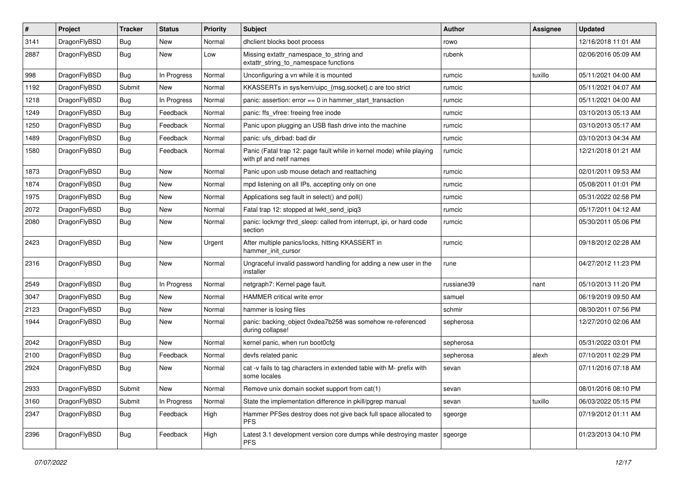| $\sharp$ | Project      | <b>Tracker</b> | <b>Status</b> | <b>Priority</b> | Subject                                                                                         | <b>Author</b> | Assignee | <b>Updated</b>      |
|----------|--------------|----------------|---------------|-----------------|-------------------------------------------------------------------------------------------------|---------------|----------|---------------------|
| 3141     | DragonFlyBSD | <b>Bug</b>     | New           | Normal          | dhclient blocks boot process                                                                    | rowo          |          | 12/16/2018 11:01 AM |
| 2887     | DragonFlyBSD | <b>Bug</b>     | New           | Low             | Missing extattr_namespace_to_string and<br>extattr string to namespace functions                | rubenk        |          | 02/06/2016 05:09 AM |
| 998      | DragonFlyBSD | Bug            | In Progress   | Normal          | Unconfiguring a vn while it is mounted                                                          | rumcic        | tuxillo  | 05/11/2021 04:00 AM |
| 1192     | DragonFlyBSD | Submit         | New           | Normal          | KKASSERTs in sys/kern/uipc_{msg,socket}.c are too strict                                        | rumcic        |          | 05/11/2021 04:07 AM |
| 1218     | DragonFlyBSD | <b>Bug</b>     | In Progress   | Normal          | panic: assertion: $error == 0$ in hammer start transaction                                      | rumcic        |          | 05/11/2021 04:00 AM |
| 1249     | DragonFlyBSD | Bug            | Feedback      | Normal          | panic: ffs vfree: freeing free inode                                                            | rumcic        |          | 03/10/2013 05:13 AM |
| 1250     | DragonFlyBSD | <b>Bug</b>     | Feedback      | Normal          | Panic upon plugging an USB flash drive into the machine                                         | rumcic        |          | 03/10/2013 05:17 AM |
| 1489     | DragonFlyBSD | <b>Bug</b>     | Feedback      | Normal          | panic: ufs dirbad: bad dir                                                                      | rumcic        |          | 03/10/2013 04:34 AM |
| 1580     | DragonFlyBSD | <b>Bug</b>     | Feedback      | Normal          | Panic (Fatal trap 12: page fault while in kernel mode) while playing<br>with pf and netif names | rumcic        |          | 12/21/2018 01:21 AM |
| 1873     | DragonFlyBSD | <b>Bug</b>     | <b>New</b>    | Normal          | Panic upon usb mouse detach and reattaching                                                     | rumcic        |          | 02/01/2011 09:53 AM |
| 1874     | DragonFlyBSD | Bug            | New           | Normal          | mpd listening on all IPs, accepting only on one                                                 | rumcic        |          | 05/08/2011 01:01 PM |
| 1975     | DragonFlyBSD | <b>Bug</b>     | New           | Normal          | Applications seg fault in select() and poll()                                                   | rumcic        |          | 05/31/2022 02:58 PM |
| 2072     | DragonFlyBSD | <b>Bug</b>     | New           | Normal          | Fatal trap 12: stopped at lwkt_send_ipiq3                                                       | rumcic        |          | 05/17/2011 04:12 AM |
| 2080     | DragonFlyBSD | Bug            | <b>New</b>    | Normal          | panic: lockmgr thrd_sleep: called from interrupt, ipi, or hard code<br>section                  | rumcic        |          | 05/30/2011 05:06 PM |
| 2423     | DragonFlyBSD | <b>Bug</b>     | New           | Urgent          | After multiple panics/locks, hitting KKASSERT in<br>hammer_init_cursor                          | rumcic        |          | 09/18/2012 02:28 AM |
| 2316     | DragonFlyBSD | Bug            | New           | Normal          | Ungraceful invalid password handling for adding a new user in the<br>installer                  | rune          |          | 04/27/2012 11:23 PM |
| 2549     | DragonFlyBSD | Bug            | In Progress   | Normal          | netgraph7: Kernel page fault.                                                                   | russiane39    | nant     | 05/10/2013 11:20 PM |
| 3047     | DragonFlyBSD | <b>Bug</b>     | New           | Normal          | HAMMER critical write error                                                                     | samuel        |          | 06/19/2019 09:50 AM |
| 2123     | DragonFlyBSD | <b>Bug</b>     | New           | Normal          | hammer is losing files                                                                          | schmir        |          | 08/30/2011 07:56 PM |
| 1944     | DragonFlyBSD | Bug            | New           | Normal          | panic: backing_object 0xdea7b258 was somehow re-referenced<br>during collapse!                  | sepherosa     |          | 12/27/2010 02:06 AM |
| 2042     | DragonFlyBSD | Bug            | <b>New</b>    | Normal          | kernel panic, when run boot0cfg                                                                 | sepherosa     |          | 05/31/2022 03:01 PM |
| 2100     | DragonFlyBSD | <b>Bug</b>     | Feedback      | Normal          | devfs related panic                                                                             | sepherosa     | alexh    | 07/10/2011 02:29 PM |
| 2924     | DragonFlyBSD | Bug            | New           | Normal          | cat -v fails to tag characters in extended table with M- prefix with<br>some locales            | sevan         |          | 07/11/2016 07:18 AM |
| 2933     | DragonFlyBSD | Submit         | <b>New</b>    | Normal          | Remove unix domain socket support from cat(1)                                                   | sevan         |          | 08/01/2016 08:10 PM |
| 3160     | DragonFlyBSD | Submit         | In Progress   | Normal          | State the implementation difference in pkill/pgrep manual                                       | sevan         | tuxillo  | 06/03/2022 05:15 PM |
| 2347     | DragonFlyBSD | <b>Bug</b>     | Feedback      | High            | Hammer PFSes destroy does not give back full space allocated to<br>PFS.                         | sgeorge       |          | 07/19/2012 01:11 AM |
| 2396     | DragonFlyBSD | Bug            | Feedback      | High            | Latest 3.1 development version core dumps while destroying master<br><b>PFS</b>                 | sgeorge       |          | 01/23/2013 04:10 PM |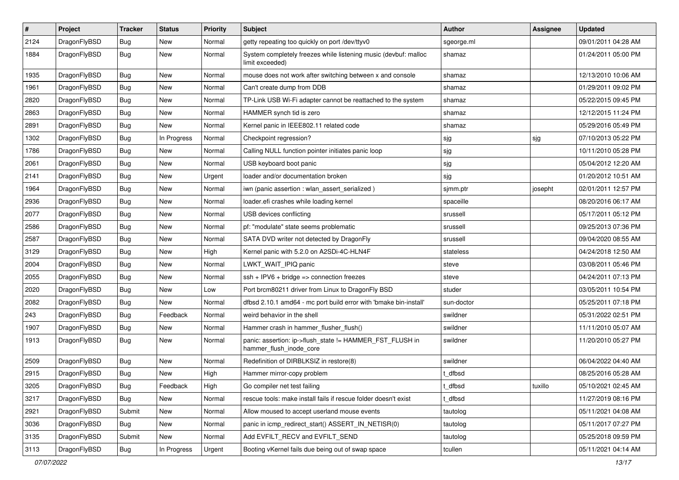| $\pmb{\#}$ | Project      | <b>Tracker</b> | <b>Status</b> | <b>Priority</b> | Subject                                                                             | <b>Author</b> | Assignee | <b>Updated</b>      |
|------------|--------------|----------------|---------------|-----------------|-------------------------------------------------------------------------------------|---------------|----------|---------------------|
| 2124       | DragonFlyBSD | Bug            | <b>New</b>    | Normal          | getty repeating too quickly on port /dev/ttyv0                                      | sgeorge.ml    |          | 09/01/2011 04:28 AM |
| 1884       | DragonFlyBSD | Bug            | New           | Normal          | System completely freezes while listening music (devbuf: malloc<br>limit exceeded)  | shamaz        |          | 01/24/2011 05:00 PM |
| 1935       | DragonFlyBSD | Bug            | <b>New</b>    | Normal          | mouse does not work after switching between x and console                           | shamaz        |          | 12/13/2010 10:06 AM |
| 1961       | DragonFlyBSD | Bug            | <b>New</b>    | Normal          | Can't create dump from DDB                                                          | shamaz        |          | 01/29/2011 09:02 PM |
| 2820       | DragonFlyBSD | Bug            | <b>New</b>    | Normal          | TP-Link USB Wi-Fi adapter cannot be reattached to the system                        | shamaz        |          | 05/22/2015 09:45 PM |
| 2863       | DragonFlyBSD | Bug            | <b>New</b>    | Normal          | HAMMER synch tid is zero                                                            | shamaz        |          | 12/12/2015 11:24 PM |
| 2891       | DragonFlyBSD | Bug            | <b>New</b>    | Normal          | Kernel panic in IEEE802.11 related code                                             | shamaz        |          | 05/29/2016 05:49 PM |
| 1302       | DragonFlyBSD | Bug            | In Progress   | Normal          | Checkpoint regression?                                                              | sjg           | sjg      | 07/10/2013 05:22 PM |
| 1786       | DragonFlyBSD | Bug            | <b>New</b>    | Normal          | Calling NULL function pointer initiates panic loop                                  | sjg           |          | 10/11/2010 05:28 PM |
| 2061       | DragonFlyBSD | Bug            | <b>New</b>    | Normal          | USB keyboard boot panic                                                             | sjg           |          | 05/04/2012 12:20 AM |
| 2141       | DragonFlyBSD | Bug            | <b>New</b>    | Urgent          | loader and/or documentation broken                                                  | sjg           |          | 01/20/2012 10:51 AM |
| 1964       | DragonFlyBSD | Bug            | <b>New</b>    | Normal          | iwn (panic assertion : wlan assert serialized)                                      | sjmm.ptr      | josepht  | 02/01/2011 12:57 PM |
| 2936       | DragonFlyBSD | Bug            | New           | Normal          | loader.efi crashes while loading kernel                                             | spaceille     |          | 08/20/2016 06:17 AM |
| 2077       | DragonFlyBSD | Bug            | <b>New</b>    | Normal          | USB devices conflicting                                                             | srussell      |          | 05/17/2011 05:12 PM |
| 2586       | DragonFlyBSD | <b>Bug</b>     | New           | Normal          | pf: "modulate" state seems problematic                                              | srussell      |          | 09/25/2013 07:36 PM |
| 2587       | DragonFlyBSD | Bug            | New           | Normal          | SATA DVD writer not detected by DragonFly                                           | srussell      |          | 09/04/2020 08:55 AM |
| 3129       | DragonFlyBSD | Bug            | <b>New</b>    | High            | Kernel panic with 5.2.0 on A2SDi-4C-HLN4F                                           | stateless     |          | 04/24/2018 12:50 AM |
| 2004       | DragonFlyBSD | Bug            | New           | Normal          | LWKT_WAIT_IPIQ panic                                                                | steve         |          | 03/08/2011 05:46 PM |
| 2055       | DragonFlyBSD | Bug            | <b>New</b>    | Normal          | $ssh + IPV6 + bridge \Rightarrow connection freezes$                                | steve         |          | 04/24/2011 07:13 PM |
| 2020       | DragonFlyBSD | Bug            | <b>New</b>    | Low             | Port brcm80211 driver from Linux to DragonFly BSD                                   | studer        |          | 03/05/2011 10:54 PM |
| 2082       | DragonFlyBSD | Bug            | <b>New</b>    | Normal          | dfbsd 2.10.1 amd64 - mc port build error with 'bmake bin-install'                   | sun-doctor    |          | 05/25/2011 07:18 PM |
| 243        | DragonFlyBSD | Bug            | Feedback      | Normal          | weird behavior in the shell                                                         | swildner      |          | 05/31/2022 02:51 PM |
| 1907       | DragonFlyBSD | Bug            | New           | Normal          | Hammer crash in hammer flusher flush()                                              | swildner      |          | 11/11/2010 05:07 AM |
| 1913       | DragonFlyBSD | Bug            | New           | Normal          | panic: assertion: ip->flush_state != HAMMER_FST_FLUSH in<br>hammer_flush_inode_core | swildner      |          | 11/20/2010 05:27 PM |
| 2509       | DragonFlyBSD | Bug            | <b>New</b>    | Normal          | Redefinition of DIRBLKSIZ in restore(8)                                             | swildner      |          | 06/04/2022 04:40 AM |
| 2915       | DragonFlyBSD | Bug            | New           | High            | Hammer mirror-copy problem                                                          | dfbsd         |          | 08/25/2016 05:28 AM |
| 3205       | DragonFlyBSD | <b>Bug</b>     | Feedback      | High            | Go compiler net test failing                                                        | t_dfbsd       | tuxillo  | 05/10/2021 02:45 AM |
| 3217       | DragonFlyBSD | Bug            | <b>New</b>    | Normal          | rescue tools: make install fails if rescue folder doesn't exist                     | dfbsd         |          | 11/27/2019 08:16 PM |
| 2921       | DragonFlyBSD | Submit         | New           | Normal          | Allow moused to accept userland mouse events                                        | tautolog      |          | 05/11/2021 04:08 AM |
| 3036       | DragonFlyBSD | <b>Bug</b>     | New           | Normal          | panic in icmp redirect start() ASSERT IN NETISR(0)                                  | tautolog      |          | 05/11/2017 07:27 PM |
| 3135       | DragonFlyBSD | Submit         | New           | Normal          | Add EVFILT_RECV and EVFILT_SEND                                                     | tautolog      |          | 05/25/2018 09:59 PM |
| 3113       | DragonFlyBSD | Bug            | In Progress   | Urgent          | Booting vKernel fails due being out of swap space                                   | tcullen       |          | 05/11/2021 04:14 AM |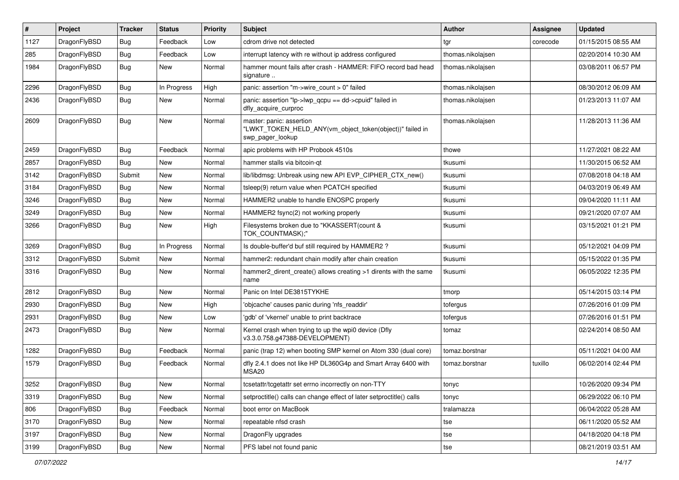| $\sharp$ | Project      | <b>Tracker</b> | <b>Status</b> | <b>Priority</b> | Subject                                                                                                  | Author            | Assignee | <b>Updated</b>      |
|----------|--------------|----------------|---------------|-----------------|----------------------------------------------------------------------------------------------------------|-------------------|----------|---------------------|
| 1127     | DragonFlyBSD | <b>Bug</b>     | Feedback      | Low             | cdrom drive not detected                                                                                 | tgr               | corecode | 01/15/2015 08:55 AM |
| 285      | DragonFlyBSD | <b>Bug</b>     | Feedback      | Low             | interrupt latency with re without ip address configured                                                  | thomas.nikolajsen |          | 02/20/2014 10:30 AM |
| 1984     | DragonFlyBSD | <b>Bug</b>     | New           | Normal          | hammer mount fails after crash - HAMMER: FIFO record bad head<br>signature                               | thomas.nikolaisen |          | 03/08/2011 06:57 PM |
| 2296     | DragonFlyBSD | Bug            | In Progress   | High            | panic: assertion "m->wire count > 0" failed                                                              | thomas.nikolajsen |          | 08/30/2012 06:09 AM |
| 2436     | DragonFlyBSD | <b>Bug</b>     | New           | Normal          | panic: assertion " $lp$ -> $lwp$ gcpu == dd->cpuid" failed in<br>dfly acquire curproc                    | thomas.nikolajsen |          | 01/23/2013 11:07 AM |
| 2609     | DragonFlyBSD | <b>Bug</b>     | New           | Normal          | master: panic: assertion<br>"LWKT_TOKEN_HELD_ANY(vm_object_token(object))" failed in<br>swp_pager_lookup | thomas.nikolaisen |          | 11/28/2013 11:36 AM |
| 2459     | DragonFlyBSD | <b>Bug</b>     | Feedback      | Normal          | apic problems with HP Probook 4510s                                                                      | thowe             |          | 11/27/2021 08:22 AM |
| 2857     | DragonFlyBSD | <b>Bug</b>     | <b>New</b>    | Normal          | hammer stalls via bitcoin-qt                                                                             | tkusumi           |          | 11/30/2015 06:52 AM |
| 3142     | DragonFlyBSD | Submit         | <b>New</b>    | Normal          | lib/libdmsg: Unbreak using new API EVP_CIPHER_CTX_new()                                                  | tkusumi           |          | 07/08/2018 04:18 AM |
| 3184     | DragonFlyBSD | <b>Bug</b>     | New           | Normal          | tsleep(9) return value when PCATCH specified                                                             | tkusumi           |          | 04/03/2019 06:49 AM |
| 3246     | DragonFlyBSD | <b>Bug</b>     | New           | Normal          | HAMMER2 unable to handle ENOSPC properly                                                                 | tkusumi           |          | 09/04/2020 11:11 AM |
| 3249     | DragonFlyBSD | <b>Bug</b>     | New           | Normal          | HAMMER2 fsync(2) not working properly                                                                    | tkusumi           |          | 09/21/2020 07:07 AM |
| 3266     | DragonFlyBSD | <b>Bug</b>     | <b>New</b>    | High            | Filesystems broken due to "KKASSERT(count &<br>TOK_COUNTMASK);"                                          | tkusumi           |          | 03/15/2021 01:21 PM |
| 3269     | DragonFlyBSD | Bug            | In Progress   | Normal          | Is double-buffer'd buf still required by HAMMER2?                                                        | tkusumi           |          | 05/12/2021 04:09 PM |
| 3312     | DragonFlyBSD | Submit         | New           | Normal          | hammer2: redundant chain modify after chain creation                                                     | tkusumi           |          | 05/15/2022 01:35 PM |
| 3316     | DragonFlyBSD | Bug            | <b>New</b>    | Normal          | hammer2_dirent_create() allows creating >1 dirents with the same<br>name                                 | tkusumi           |          | 06/05/2022 12:35 PM |
| 2812     | DragonFlyBSD | <b>Bug</b>     | <b>New</b>    | Normal          | Panic on Intel DE3815TYKHE                                                                               | tmorp             |          | 05/14/2015 03:14 PM |
| 2930     | DragonFlyBSD | <b>Bug</b>     | <b>New</b>    | High            | 'objcache' causes panic during 'nfs_readdir'                                                             | tofergus          |          | 07/26/2016 01:09 PM |
| 2931     | DragonFlyBSD | <b>Bug</b>     | <b>New</b>    | Low             | 'gdb' of 'vkernel' unable to print backtrace                                                             | tofergus          |          | 07/26/2016 01:51 PM |
| 2473     | DragonFlyBSD | <b>Bug</b>     | New           | Normal          | Kernel crash when trying to up the wpi0 device (Dfly<br>v3.3.0.758.g47388-DEVELOPMENT)                   | tomaz             |          | 02/24/2014 08:50 AM |
| 1282     | DragonFlyBSD | Bug            | Feedback      | Normal          | panic (trap 12) when booting SMP kernel on Atom 330 (dual core)                                          | tomaz.borstnar    |          | 05/11/2021 04:00 AM |
| 1579     | DragonFlyBSD | Bug            | Feedback      | Normal          | dfly 2.4.1 does not like HP DL360G4p and Smart Array 6400 with<br>MSA20                                  | tomaz.borstnar    | tuxillo  | 06/02/2014 02:44 PM |
| 3252     | DragonFlyBSD | <b>Bug</b>     | New           | Normal          | tcsetattr/tcgetattr set errno incorrectly on non-TTY                                                     | tonyc             |          | 10/26/2020 09:34 PM |
| 3319     | DragonFlyBSD | Bug            | New           | Normal          | setproctitle() calls can change effect of later setproctitle() calls                                     | tonyc             |          | 06/29/2022 06:10 PM |
| 806      | DragonFlyBSD | <b>Bug</b>     | Feedback      | Normal          | boot error on MacBook                                                                                    | tralamazza        |          | 06/04/2022 05:28 AM |
| 3170     | DragonFlyBSD | <b>Bug</b>     | New           | Normal          | repeatable nfsd crash                                                                                    | tse               |          | 06/11/2020 05:52 AM |
| 3197     | DragonFlyBSD | <b>Bug</b>     | New           | Normal          | DragonFly upgrades                                                                                       | tse               |          | 04/18/2020 04:18 PM |
| 3199     | DragonFlyBSD | <b>Bug</b>     | New           | Normal          | PFS label not found panic                                                                                | tse               |          | 08/21/2019 03:51 AM |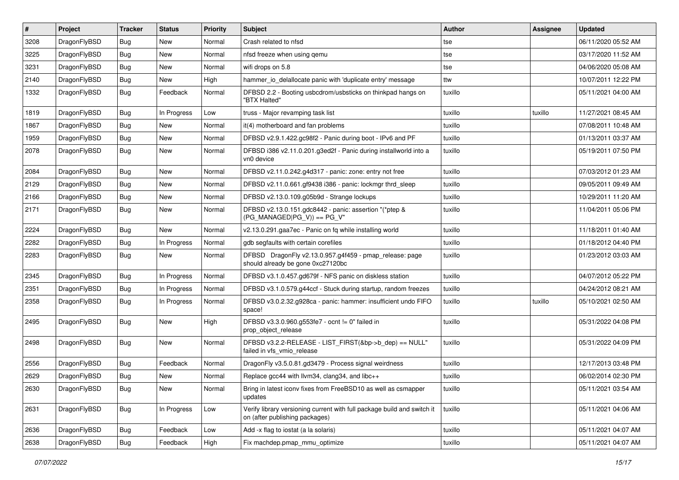| #    | Project      | <b>Tracker</b> | <b>Status</b> | <b>Priority</b> | Subject                                                                                                   | <b>Author</b> | Assignee | <b>Updated</b>      |
|------|--------------|----------------|---------------|-----------------|-----------------------------------------------------------------------------------------------------------|---------------|----------|---------------------|
| 3208 | DragonFlyBSD | Bug            | <b>New</b>    | Normal          | Crash related to nfsd                                                                                     | tse           |          | 06/11/2020 05:52 AM |
| 3225 | DragonFlyBSD | Bug            | <b>New</b>    | Normal          | nfsd freeze when using qemu                                                                               | tse           |          | 03/17/2020 11:52 AM |
| 3231 | DragonFlyBSD | <b>Bug</b>     | New           | Normal          | wifi drops on 5.8                                                                                         | tse           |          | 04/06/2020 05:08 AM |
| 2140 | DragonFlyBSD | Bug            | <b>New</b>    | High            | hammer_io_delallocate panic with 'duplicate entry' message                                                | ttw           |          | 10/07/2011 12:22 PM |
| 1332 | DragonFlyBSD | Bug            | Feedback      | Normal          | DFBSD 2.2 - Booting usbcdrom/usbsticks on thinkpad hangs on<br>"BTX Halted"                               | tuxillo       |          | 05/11/2021 04:00 AM |
| 1819 | DragonFlyBSD | Bug            | In Progress   | Low             | truss - Major revamping task list                                                                         | tuxillo       | tuxillo  | 11/27/2021 08:45 AM |
| 1867 | DragonFlyBSD | <b>Bug</b>     | <b>New</b>    | Normal          | it(4) motherboard and fan problems                                                                        | tuxillo       |          | 07/08/2011 10:48 AM |
| 1959 | DragonFlyBSD | Bug            | <b>New</b>    | Normal          | DFBSD v2.9.1.422.gc98f2 - Panic during boot - IPv6 and PF                                                 | tuxillo       |          | 01/13/2011 03:37 AM |
| 2078 | DragonFlyBSD | Bug            | <b>New</b>    | Normal          | DFBSD i386 v2.11.0.201.g3ed2f - Panic during installworld into a<br>vn0 device                            | tuxillo       |          | 05/19/2011 07:50 PM |
| 2084 | DragonFlyBSD | Bug            | <b>New</b>    | Normal          | DFBSD v2.11.0.242.g4d317 - panic: zone: entry not free                                                    | tuxillo       |          | 07/03/2012 01:23 AM |
| 2129 | DragonFlyBSD | <b>Bug</b>     | New           | Normal          | DFBSD v2.11.0.661.gf9438 i386 - panic: lockmgr thrd sleep                                                 | tuxillo       |          | 09/05/2011 09:49 AM |
| 2166 | DragonFlyBSD | Bug            | <b>New</b>    | Normal          | DFBSD v2.13.0.109.g05b9d - Strange lockups                                                                | tuxillo       |          | 10/29/2011 11:20 AM |
| 2171 | DragonFlyBSD | Bug            | New           | Normal          | DFBSD v2.13.0.151.gdc8442 - panic: assertion "(*ptep &<br>$(PG_MANAGED PG_V)$ == PG_V"                    | tuxillo       |          | 11/04/2011 05:06 PM |
| 2224 | DragonFlyBSD | Bug            | <b>New</b>    | Normal          | v2.13.0.291.gaa7ec - Panic on fq while installing world                                                   | tuxillo       |          | 11/18/2011 01:40 AM |
| 2282 | DragonFlyBSD | <b>Bug</b>     | In Progress   | Normal          | gdb segfaults with certain corefiles                                                                      | tuxillo       |          | 01/18/2012 04:40 PM |
| 2283 | DragonFlyBSD | Bug            | New           | Normal          | DFBSD DragonFly v2.13.0.957.g4f459 - pmap_release: page<br>should already be gone 0xc27120bc              | tuxillo       |          | 01/23/2012 03:03 AM |
| 2345 | DragonFlyBSD | <b>Bug</b>     | In Progress   | Normal          | DFBSD v3.1.0.457.gd679f - NFS panic on diskless station                                                   | tuxillo       |          | 04/07/2012 05:22 PM |
| 2351 | DragonFlyBSD | Bug            | In Progress   | Normal          | DFBSD v3.1.0.579.g44ccf - Stuck during startup, random freezes                                            | tuxillo       |          | 04/24/2012 08:21 AM |
| 2358 | DragonFlyBSD | Bug            | In Progress   | Normal          | DFBSD v3.0.2.32.g928ca - panic: hammer: insufficient undo FIFO<br>space!                                  | tuxillo       | tuxillo  | 05/10/2021 02:50 AM |
| 2495 | DragonFlyBSD | Bug            | New           | High            | DFBSD v3.3.0.960.g553fe7 - ocnt != 0" failed in<br>prop_object_release                                    | tuxillo       |          | 05/31/2022 04:08 PM |
| 2498 | DragonFlyBSD | Bug            | <b>New</b>    | Normal          | DFBSD v3.2.2-RELEASE - LIST_FIRST(&bp->b_dep) == NULL"<br>failed in vfs_vmio_release                      | tuxillo       |          | 05/31/2022 04:09 PM |
| 2556 | DragonFlyBSD | <b>Bug</b>     | Feedback      | Normal          | DragonFly v3.5.0.81.gd3479 - Process signal weirdness                                                     | tuxillo       |          | 12/17/2013 03:48 PM |
| 2629 | DragonFlyBSD | <b>Bug</b>     | New           | Normal          | Replace gcc44 with llvm34, clang34, and libc++                                                            | tuxillo       |          | 06/02/2014 02:30 PM |
| 2630 | DragonFlyBSD | <b>Bug</b>     | New           | Normal          | Bring in latest iconv fixes from FreeBSD10 as well as csmapper<br>updates                                 | tuxillo       |          | 05/11/2021 03:54 AM |
| 2631 | DragonFlyBSD | <b>Bug</b>     | In Progress   | Low             | Verify library versioning current with full package build and switch it<br>on (after publishing packages) | tuxillo       |          | 05/11/2021 04:06 AM |
| 2636 | DragonFlyBSD | <b>Bug</b>     | Feedback      | Low             | Add -x flag to iostat (a la solaris)                                                                      | tuxillo       |          | 05/11/2021 04:07 AM |
| 2638 | DragonFlyBSD | <b>Bug</b>     | Feedback      | High            | Fix machdep.pmap_mmu_optimize                                                                             | tuxillo       |          | 05/11/2021 04:07 AM |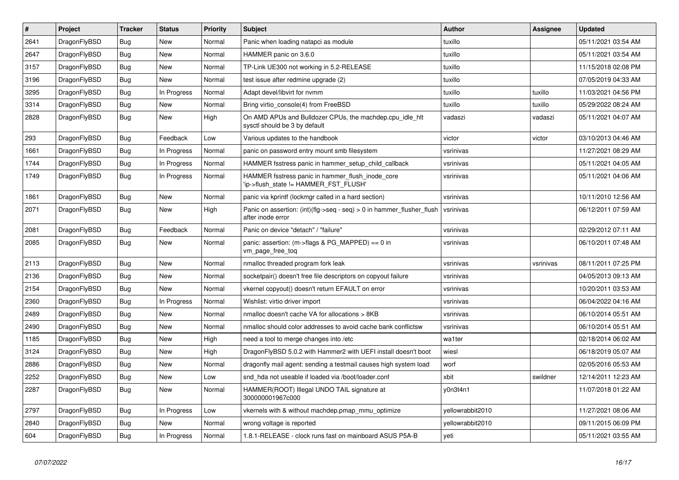| $\vert$ # | <b>Project</b> | <b>Tracker</b> | <b>Status</b> | <b>Priority</b> | <b>Subject</b>                                                                                | <b>Author</b>    | Assignee  | <b>Updated</b>      |
|-----------|----------------|----------------|---------------|-----------------|-----------------------------------------------------------------------------------------------|------------------|-----------|---------------------|
| 2641      | DragonFlyBSD   | Bug            | <b>New</b>    | Normal          | Panic when loading natapci as module                                                          | tuxillo          |           | 05/11/2021 03:54 AM |
| 2647      | DragonFlyBSD   | <b>Bug</b>     | New           | Normal          | HAMMER panic on 3.6.0                                                                         | tuxillo          |           | 05/11/2021 03:54 AM |
| 3157      | DragonFlyBSD   | <b>Bug</b>     | <b>New</b>    | Normal          | TP-Link UE300 not working in 5.2-RELEASE                                                      | tuxillo          |           | 11/15/2018 02:08 PM |
| 3196      | DragonFlyBSD   | Bug            | New           | Normal          | test issue after redmine upgrade (2)                                                          | tuxillo          |           | 07/05/2019 04:33 AM |
| 3295      | DragonFlyBSD   | Bug            | In Progress   | Normal          | Adapt devel/libvirt for nymm                                                                  | tuxillo          | tuxillo   | 11/03/2021 04:56 PM |
| 3314      | DragonFlyBSD   | Bug            | New           | Normal          | Bring virtio console(4) from FreeBSD                                                          | tuxillo          | tuxillo   | 05/29/2022 08:24 AM |
| 2828      | DragonFlyBSD   | <b>Bug</b>     | <b>New</b>    | High            | On AMD APUs and Bulldozer CPUs, the machdep.cpu_idle_hlt<br>sysctl should be 3 by default     | vadaszi          | vadaszi   | 05/11/2021 04:07 AM |
| 293       | DragonFlyBSD   | <b>Bug</b>     | Feedback      | Low             | Various updates to the handbook                                                               | victor           | victor    | 03/10/2013 04:46 AM |
| 1661      | DragonFlyBSD   | Bug            | In Progress   | Normal          | panic on password entry mount smb filesystem                                                  | vsrinivas        |           | 11/27/2021 08:29 AM |
| 1744      | DragonFlyBSD   | Bug            | In Progress   | Normal          | HAMMER fsstress panic in hammer setup child callback                                          | vsrinivas        |           | 05/11/2021 04:05 AM |
| 1749      | DragonFlyBSD   | Bug            | In Progress   | Normal          | HAMMER fsstress panic in hammer_flush_inode_core<br>'ip->flush_state != HAMMER_FST_FLUSH'     | vsrinivas        |           | 05/11/2021 04:06 AM |
| 1861      | DragonFlyBSD   | Bug            | <b>New</b>    | Normal          | panic via kprintf (lockmgr called in a hard section)                                          | vsrinivas        |           | 10/11/2010 12:56 AM |
| 2071      | DragonFlyBSD   | Bug            | <b>New</b>    | High            | Panic on assertion: $(int)(flag->seq - seq) > 0$ in hammer flusher flush<br>after inode error | vsrinivas        |           | 06/12/2011 07:59 AM |
| 2081      | DragonFlyBSD   | <b>Bug</b>     | Feedback      | Normal          | Panic on device "detach" / "failure"                                                          | vsrinivas        |           | 02/29/2012 07:11 AM |
| 2085      | DragonFlyBSD   | <b>Bug</b>     | <b>New</b>    | Normal          | panic: assertion: $(m\rightarrow$ flags & PG MAPPED) == 0 in<br>vm_page_free_toq              | vsrinivas        |           | 06/10/2011 07:48 AM |
| 2113      | DragonFlyBSD   | Bug            | <b>New</b>    | Normal          | nmalloc threaded program fork leak                                                            | vsrinivas        | vsrinivas | 08/11/2011 07:25 PM |
| 2136      | DragonFlyBSD   | Bug            | <b>New</b>    | Normal          | socketpair() doesn't free file descriptors on copyout failure                                 | vsrinivas        |           | 04/05/2013 09:13 AM |
| 2154      | DragonFlyBSD   | Bug            | <b>New</b>    | Normal          | vkernel copyout() doesn't return EFAULT on error                                              | vsrinivas        |           | 10/20/2011 03:53 AM |
| 2360      | DragonFlyBSD   | Bug            | In Progress   | Normal          | Wishlist: virtio driver import                                                                | vsrinivas        |           | 06/04/2022 04:16 AM |
| 2489      | DragonFlyBSD   | Bug            | New           | Normal          | nmalloc doesn't cache VA for allocations > 8KB                                                | vsrinivas        |           | 06/10/2014 05:51 AM |
| 2490      | DragonFlyBSD   | Bug            | New           | Normal          | nmalloc should color addresses to avoid cache bank conflictsw                                 | vsrinivas        |           | 06/10/2014 05:51 AM |
| 1185      | DragonFlyBSD   | <b>Bug</b>     | <b>New</b>    | High            | need a tool to merge changes into /etc                                                        | wa1ter           |           | 02/18/2014 06:02 AM |
| 3124      | DragonFlyBSD   | Bug            | New           | High            | DragonFlyBSD 5.0.2 with Hammer2 with UEFI install doesn't boot                                | wiesl            |           | 06/18/2019 05:07 AM |
| 2886      | DragonFlyBSD   | Bug            | New           | Normal          | dragonfly mail agent: sending a testmail causes high system load                              | worf             |           | 02/05/2016 05:53 AM |
| 2252      | DragonFlyBSD   | Bug            | New           | Low             | snd hda not useable if loaded via /boot/loader.conf                                           | xbit             | swildner  | 12/14/2011 12:23 AM |
| 2287      | DragonFlyBSD   | Bug            | <b>New</b>    | Normal          | HAMMER(ROOT) Illegal UNDO TAIL signature at<br>300000001967c000                               | v0n3t4n1         |           | 11/07/2018 01:22 AM |
| 2797      | DragonFlyBSD   | Bug            | In Progress   | Low             | vkernels with & without machdep.pmap mmu optimize                                             | yellowrabbit2010 |           | 11/27/2021 08:06 AM |
| 2840      | DragonFlyBSD   | Bug            | New           | Normal          | wrong voltage is reported                                                                     | yellowrabbit2010 |           | 09/11/2015 06:09 PM |
| 604       | DragonFlyBSD   | Bug            | In Progress   | Normal          | 1.8.1-RELEASE - clock runs fast on mainboard ASUS P5A-B                                       | yeti             |           | 05/11/2021 03:55 AM |